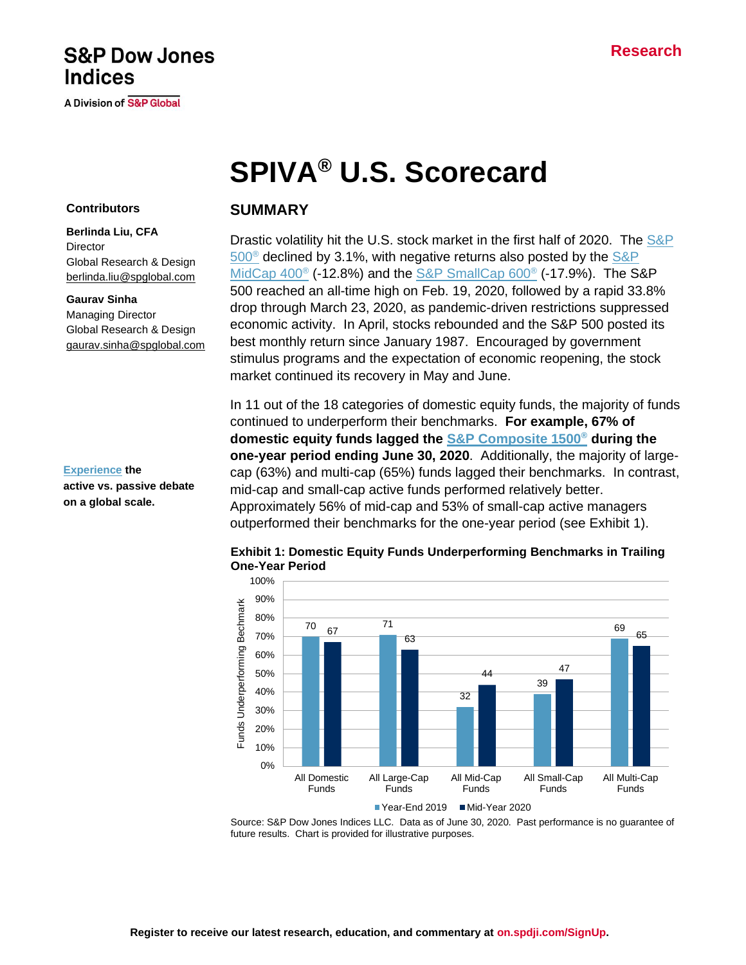# **Research**

# **S&P Dow Jones Indices**

**A Division of S&P Global** 

# **SPIVA® U.S. Scorecard**

#### **Contributors**

**Berlinda Liu, CFA Director** [Global Research & Design](https://www.spglobal.com/spdji/en/indices/equity/sp-500/#overview) [berlinda.liu@spglobal.com](mailto:berlinda.liu@spglobal.com)

#### **Gaurav Sinha**

Managing Director Global Research & Design [gaurav.sinha@spglobal.com](mailto:gaurav.sinha@spglobal.com)

**[Experience](https://www.spglobal.com/spdji/en/research-insights/spiva/) the active vs. passive debate on a global scale.**

# **SUMMARY**

Drastic volatility hit the U.S. stock market in the first half of 2020. The S&P  $500^{\circ}$  declined by 3.1%, with negative returns also posted by the S&P MidCap 400<sup>®</sup> (-12.8%) and the [S&P SmallCap 600](https://www.spglobal.com/spdji/en/indices/equity/sp-600/#overview)<sup>®</sup> (-17.9%). The S&P 500 reached an all-time high on Feb. 19, 2020, followed by a rapid 33.8% drop through March 23, 2020, as pandemic-driven restrictions suppressed economic activity. In April, stocks rebounded and the S&P 500 posted its best monthly return since January 1987. Encouraged by government stimulus programs and the expectation of economic reopening, the stock market continued its recovery in May and June.

In 11 out of the 18 categories of domestic equity funds, the majority of funds continued to underperform their benchmarks. **For example, 67% of domestic equity funds lagged the [S&P Composite 1500](https://www.spglobal.com/spdji/en/indices/equity/sp-composite-1500/#overview)® during the one-year period ending June 30, 2020**. Additionally, the majority of largecap (63%) and multi-cap (65%) funds lagged their benchmarks. In contrast, mid-cap and small-cap active funds performed relatively better. Approximately 56% of mid-cap and 53% of small-cap active managers outperformed their benchmarks for the one-year period (see Exhibit 1).



**Exhibit 1: Domestic Equity Funds Underperforming Benchmarks in Trailing One-Year Period**

Source: S&P Dow Jones Indices LLC. Data as of June 30, 2020. Past performance is no guarantee of future results. Chart is provided for illustrative purposes.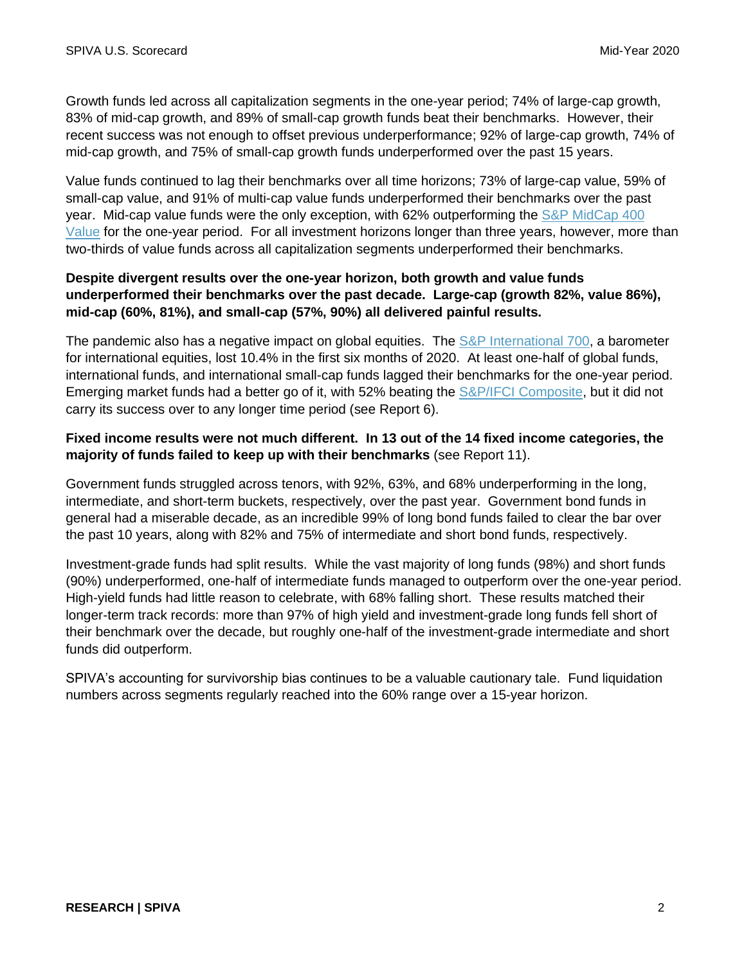Growth funds led across all capitalization segments in the one-year period; 74% of large-cap growth, 83% of mid-cap growth, and 89% of small-cap growth funds beat their benchmarks. However, their recent success was not enough to offset previous underperformance; 92% of large-cap growth, 74% of mid-cap growth, and 75% of small-cap growth funds underperformed over the past 15 years.

Value funds continued to lag their benchmarks over all time horizons; 73% of large-cap value, 59% of small-cap value, and 91% of multi-cap value funds underperformed their benchmarks over the past year. Mid-cap value funds were the only exception, with 62% outperforming the [S&P MidCap 400](https://www.spglobal.com/spdji/en/indices/strategy/sp-midcap-400-value/#overview)  [Value](https://www.spglobal.com/spdji/en/indices/strategy/sp-midcap-400-value/#overview) for the one-year period. For all investment horizons longer than three years, however, more than two-thirds of value funds across all capitalization segments underperformed their benchmarks.

# **Despite divergent results over the one-year horizon, both growth and value funds underperformed their benchmarks over the past decade. Large-cap (growth 82%, value 86%), mid-cap (60%, 81%), and small-cap (57%, 90%) all delivered painful results.**

The pandemic also has a negative impact on global equities. The [S&P International 700,](https://www.spglobal.com/spdji/en/indices/equity/sp-international-700/#overview) a barometer for international equities, lost 10.4% in the first six months of 2020. At least one-half of global funds, international funds, and international small-cap funds lagged their benchmarks for the one-year period. Emerging market funds had a better go of it, with 52% beating the [S&P/IFCI Composite,](https://www.spglobal.com/spdji/en/indices/equity/sp-ifci-composite/#overview) but it did not carry its success over to any longer time period (see Report 6).

# **Fixed income results were not much different. In 13 out of the 14 fixed income categories, the majority of funds failed to keep up with their benchmarks** (see Report 11).

Government funds struggled across tenors, with 92%, 63%, and 68% underperforming in the long, intermediate, and short-term buckets, respectively, over the past year. Government bond funds in general had a miserable decade, as an incredible 99% of long bond funds failed to clear the bar over the past 10 years, along with 82% and 75% of intermediate and short bond funds, respectively.

Investment-grade funds had split results. While the vast majority of long funds (98%) and short funds (90%) underperformed, one-half of intermediate funds managed to outperform over the one-year period. High-yield funds had little reason to celebrate, with 68% falling short. These results matched their longer-term track records: more than 97% of high yield and investment-grade long funds fell short of their benchmark over the decade, but roughly one-half of the investment-grade intermediate and short funds did outperform.

SPIVA's accounting for survivorship bias continues to be a valuable cautionary tale. Fund liquidation numbers across segments regularly reached into the 60% range over a 15-year horizon.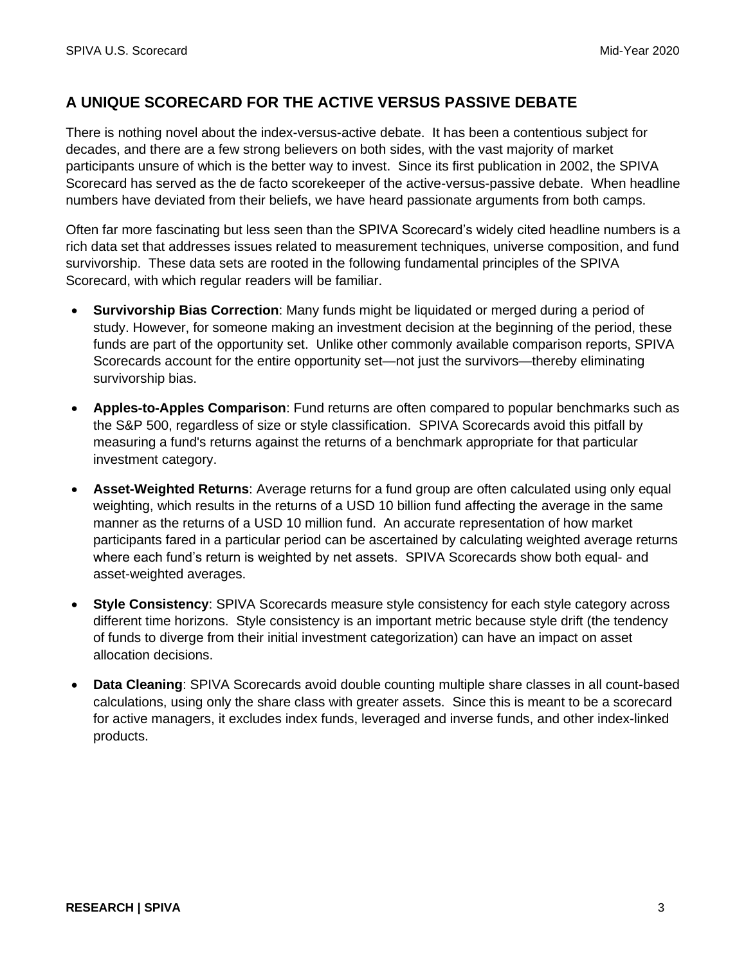# **A UNIQUE SCORECARD FOR THE ACTIVE VERSUS PASSIVE DEBATE**

There is nothing novel about the index-versus-active debate. It has been a contentious subject for decades, and there are a few strong believers on both sides, with the vast majority of market participants unsure of which is the better way to invest. Since its first publication in 2002, the SPIVA Scorecard has served as the de facto scorekeeper of the active-versus-passive debate. When headline numbers have deviated from their beliefs, we have heard passionate arguments from both camps.

Often far more fascinating but less seen than the SPIVA Scorecard's widely cited headline numbers is a rich data set that addresses issues related to measurement techniques, universe composition, and fund survivorship. These data sets are rooted in the following fundamental principles of the SPIVA Scorecard, with which regular readers will be familiar.

- **Survivorship Bias Correction**: Many funds might be liquidated or merged during a period of study. However, for someone making an investment decision at the beginning of the period, these funds are part of the opportunity set. Unlike other commonly available comparison reports, SPIVA Scorecards account for the entire opportunity set—not just the survivors—thereby eliminating survivorship bias.
- **Apples-to-Apples Comparison**: Fund returns are often compared to popular benchmarks such as the S&P 500, regardless of size or style classification. SPIVA Scorecards avoid this pitfall by measuring a fund's returns against the returns of a benchmark appropriate for that particular investment category.
- **Asset-Weighted Returns**: Average returns for a fund group are often calculated using only equal weighting, which results in the returns of a USD 10 billion fund affecting the average in the same manner as the returns of a USD 10 million fund. An accurate representation of how market participants fared in a particular period can be ascertained by calculating weighted average returns where each fund's return is weighted by net assets. SPIVA Scorecards show both equal- and asset-weighted averages.
- **Style Consistency**: SPIVA Scorecards measure style consistency for each style category across different time horizons. Style consistency is an important metric because style drift (the tendency of funds to diverge from their initial investment categorization) can have an impact on asset allocation decisions.
- **Data Cleaning**: SPIVA Scorecards avoid double counting multiple share classes in all count-based calculations, using only the share class with greater assets. Since this is meant to be a scorecard for active managers, it excludes index funds, leveraged and inverse funds, and other index-linked products.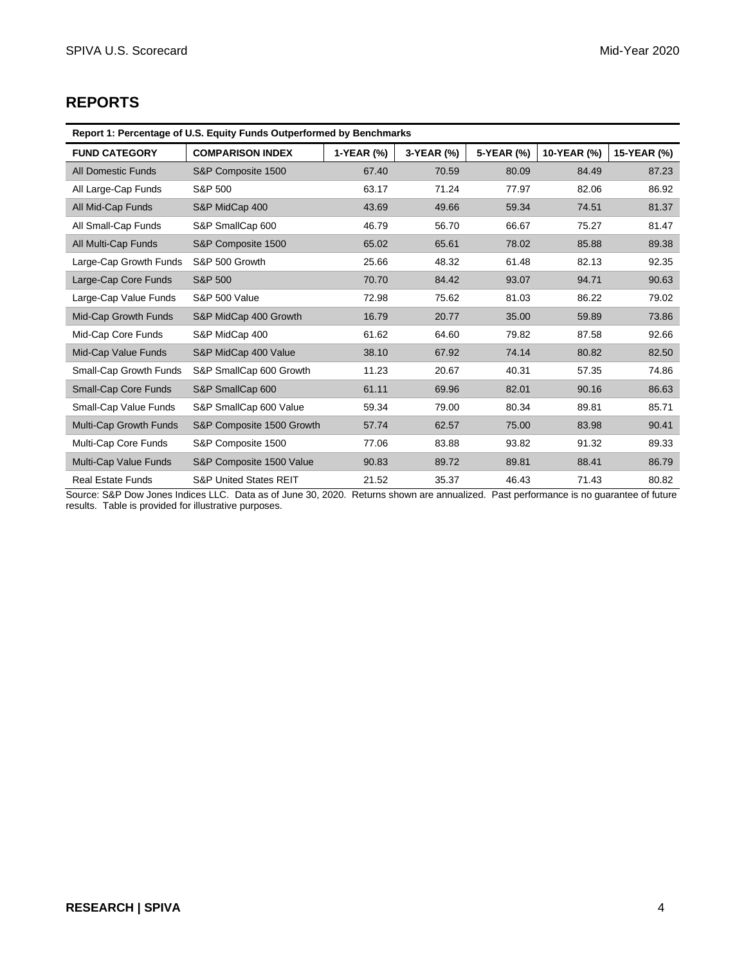# **REPORTS**

| Report 1: Percentage of U.S. Equity Funds Outperformed by Benchmarks |                                   |            |            |            |             |             |  |
|----------------------------------------------------------------------|-----------------------------------|------------|------------|------------|-------------|-------------|--|
| <b>FUND CATEGORY</b>                                                 | <b>COMPARISON INDEX</b>           | 1-YEAR (%) | 3-YEAR (%) | 5-YEAR (%) | 10-YEAR (%) | 15-YEAR (%) |  |
| <b>All Domestic Funds</b>                                            | S&P Composite 1500                | 67.40      | 70.59      | 80.09      | 84.49       | 87.23       |  |
| All Large-Cap Funds                                                  | S&P 500                           | 63.17      | 71.24      | 77.97      | 82.06       | 86.92       |  |
| All Mid-Cap Funds                                                    | S&P MidCap 400                    | 43.69      | 49.66      | 59.34      | 74.51       | 81.37       |  |
| All Small-Cap Funds                                                  | S&P SmallCap 600                  | 46.79      | 56.70      | 66.67      | 75.27       | 81.47       |  |
| All Multi-Cap Funds                                                  | S&P Composite 1500                | 65.02      | 65.61      | 78.02      | 85.88       | 89.38       |  |
| Large-Cap Growth Funds                                               | S&P 500 Growth                    | 25.66      | 48.32      | 61.48      | 82.13       | 92.35       |  |
| Large-Cap Core Funds                                                 | S&P 500                           | 70.70      | 84.42      | 93.07      | 94.71       | 90.63       |  |
| Large-Cap Value Funds                                                | <b>S&amp;P 500 Value</b>          | 72.98      | 75.62      | 81.03      | 86.22       | 79.02       |  |
| Mid-Cap Growth Funds                                                 | S&P MidCap 400 Growth             | 16.79      | 20.77      | 35.00      | 59.89       | 73.86       |  |
| Mid-Cap Core Funds                                                   | S&P MidCap 400                    | 61.62      | 64.60      | 79.82      | 87.58       | 92.66       |  |
| Mid-Cap Value Funds                                                  | S&P MidCap 400 Value              | 38.10      | 67.92      | 74.14      | 80.82       | 82.50       |  |
| Small-Cap Growth Funds                                               | S&P SmallCap 600 Growth           | 11.23      | 20.67      | 40.31      | 57.35       | 74.86       |  |
| <b>Small-Cap Core Funds</b>                                          | S&P SmallCap 600                  | 61.11      | 69.96      | 82.01      | 90.16       | 86.63       |  |
| Small-Cap Value Funds                                                | S&P SmallCap 600 Value            | 59.34      | 79.00      | 80.34      | 89.81       | 85.71       |  |
| Multi-Cap Growth Funds                                               | S&P Composite 1500 Growth         | 57.74      | 62.57      | 75.00      | 83.98       | 90.41       |  |
| Multi-Cap Core Funds                                                 | S&P Composite 1500                | 77.06      | 83.88      | 93.82      | 91.32       | 89.33       |  |
| Multi-Cap Value Funds                                                | S&P Composite 1500 Value          | 90.83      | 89.72      | 89.81      | 88.41       | 86.79       |  |
| <b>Real Estate Funds</b>                                             | <b>S&amp;P United States REIT</b> | 21.52      | 35.37      | 46.43      | 71.43       | 80.82       |  |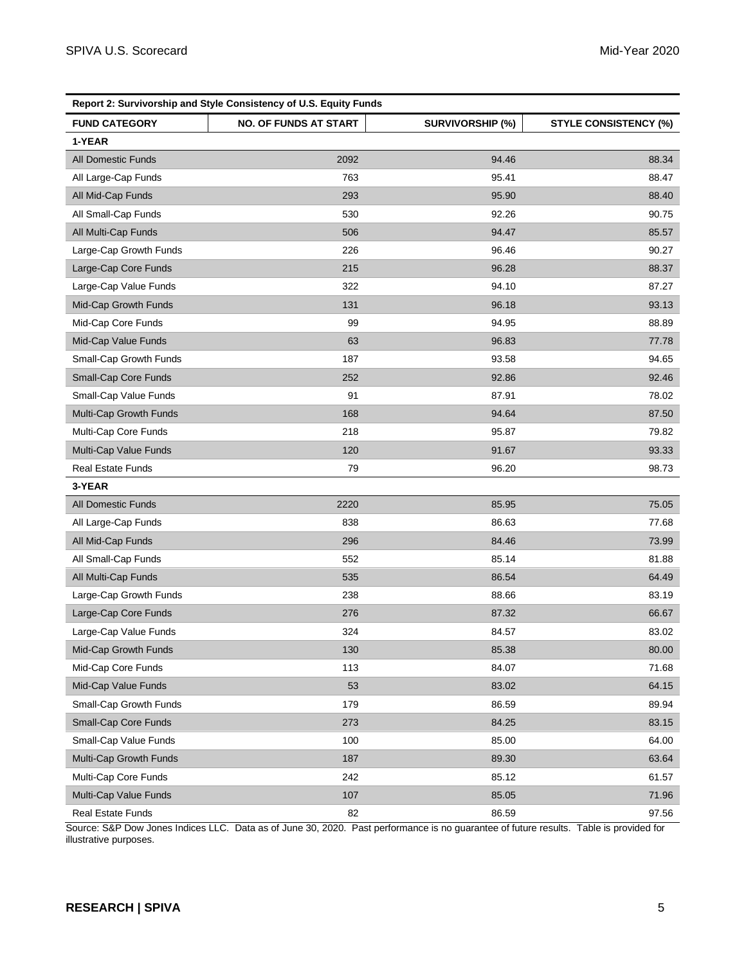| Report 2: Survivorship and Style Consistency of U.S. Equity Funds |                              |                         |                              |  |  |  |
|-------------------------------------------------------------------|------------------------------|-------------------------|------------------------------|--|--|--|
| <b>FUND CATEGORY</b>                                              | <b>NO. OF FUNDS AT START</b> | <b>SURVIVORSHIP (%)</b> | <b>STYLE CONSISTENCY (%)</b> |  |  |  |
| 1-YEAR                                                            |                              |                         |                              |  |  |  |
| <b>All Domestic Funds</b>                                         | 2092                         | 94.46                   | 88.34                        |  |  |  |
| All Large-Cap Funds                                               | 763                          | 95.41                   | 88.47                        |  |  |  |
| All Mid-Cap Funds                                                 | 293                          | 95.90                   | 88.40                        |  |  |  |
| All Small-Cap Funds                                               | 530                          | 92.26                   | 90.75                        |  |  |  |
| All Multi-Cap Funds                                               | 506                          | 94.47                   | 85.57                        |  |  |  |
| Large-Cap Growth Funds                                            | 226                          | 96.46                   | 90.27                        |  |  |  |
| Large-Cap Core Funds                                              | 215                          | 96.28                   | 88.37                        |  |  |  |
| Large-Cap Value Funds                                             | 322                          | 94.10                   | 87.27                        |  |  |  |
| Mid-Cap Growth Funds                                              | 131                          | 96.18                   | 93.13                        |  |  |  |
| Mid-Cap Core Funds                                                | 99                           | 94.95                   | 88.89                        |  |  |  |
| Mid-Cap Value Funds                                               | 63                           | 96.83                   | 77.78                        |  |  |  |
| Small-Cap Growth Funds                                            | 187                          | 93.58                   | 94.65                        |  |  |  |
| Small-Cap Core Funds                                              | 252                          | 92.86                   | 92.46                        |  |  |  |
| Small-Cap Value Funds                                             | 91                           | 87.91                   | 78.02                        |  |  |  |
| Multi-Cap Growth Funds                                            | 168                          | 94.64                   | 87.50                        |  |  |  |
| Multi-Cap Core Funds                                              | 218                          | 95.87                   | 79.82                        |  |  |  |
| Multi-Cap Value Funds                                             | 120                          | 91.67                   | 93.33                        |  |  |  |
| <b>Real Estate Funds</b>                                          | 79                           | 96.20                   | 98.73                        |  |  |  |
| 3-YEAR                                                            |                              |                         |                              |  |  |  |
| All Domestic Funds                                                | 2220                         | 85.95                   | 75.05                        |  |  |  |
| All Large-Cap Funds                                               | 838                          | 86.63                   | 77.68                        |  |  |  |
| All Mid-Cap Funds                                                 | 296                          | 84.46                   | 73.99                        |  |  |  |
| All Small-Cap Funds                                               | 552                          | 85.14                   | 81.88                        |  |  |  |
| All Multi-Cap Funds                                               | 535                          | 86.54                   | 64.49                        |  |  |  |
| Large-Cap Growth Funds                                            | 238                          | 88.66                   | 83.19                        |  |  |  |
| Large-Cap Core Funds                                              | 276                          | 87.32                   | 66.67                        |  |  |  |
| Large-Cap Value Funds                                             | 324                          | 84.57                   | 83.02                        |  |  |  |
| Mid-Cap Growth Funds                                              | 130                          | 85.38                   | 80.00                        |  |  |  |
| Mid-Cap Core Funds                                                | 113                          | 84.07                   | 71.68                        |  |  |  |
| Mid-Cap Value Funds                                               | 53                           | 83.02                   | 64.15                        |  |  |  |
| Small-Cap Growth Funds                                            | 179                          | 86.59                   | 89.94                        |  |  |  |
| Small-Cap Core Funds                                              | 273                          | 84.25                   | 83.15                        |  |  |  |
| Small-Cap Value Funds                                             | 100                          | 85.00                   | 64.00                        |  |  |  |
| Multi-Cap Growth Funds                                            | 187                          | 89.30                   | 63.64                        |  |  |  |
| Multi-Cap Core Funds                                              | 242                          | 85.12                   | 61.57                        |  |  |  |
| Multi-Cap Value Funds                                             | 107                          | 85.05                   | 71.96                        |  |  |  |
| Real Estate Funds                                                 | 82                           | 86.59                   | 97.56                        |  |  |  |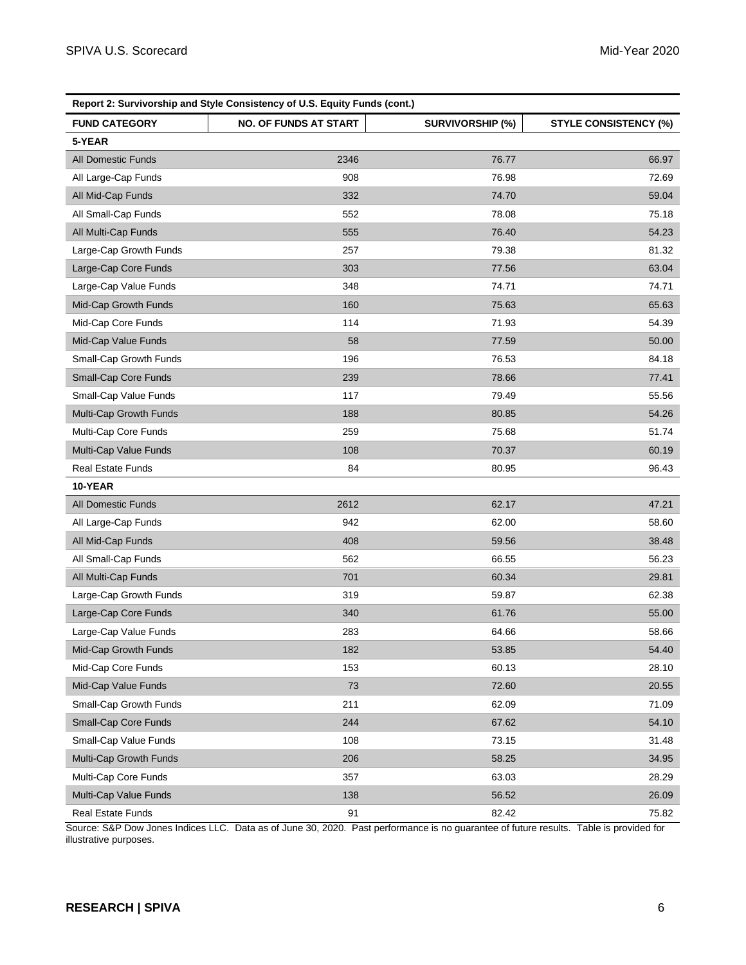| Report 2: Survivorship and Style Consistency of U.S. Equity Funds (cont.) |                              |                         |                              |  |  |
|---------------------------------------------------------------------------|------------------------------|-------------------------|------------------------------|--|--|
| <b>FUND CATEGORY</b>                                                      | <b>NO. OF FUNDS AT START</b> | <b>SURVIVORSHIP (%)</b> | <b>STYLE CONSISTENCY (%)</b> |  |  |
| 5-YEAR                                                                    |                              |                         |                              |  |  |
| <b>All Domestic Funds</b>                                                 | 2346                         | 76.77                   | 66.97                        |  |  |
| All Large-Cap Funds                                                       | 908                          | 76.98                   | 72.69                        |  |  |
| All Mid-Cap Funds                                                         | 332                          | 74.70                   | 59.04                        |  |  |
| All Small-Cap Funds                                                       | 552                          | 78.08                   | 75.18                        |  |  |
| All Multi-Cap Funds                                                       | 555                          | 76.40                   | 54.23                        |  |  |
| Large-Cap Growth Funds                                                    | 257                          | 79.38                   | 81.32                        |  |  |
| Large-Cap Core Funds                                                      | 303                          | 77.56                   | 63.04                        |  |  |
| Large-Cap Value Funds                                                     | 348                          | 74.71                   | 74.71                        |  |  |
| Mid-Cap Growth Funds                                                      | 160                          | 75.63                   | 65.63                        |  |  |
| Mid-Cap Core Funds                                                        | 114                          | 71.93                   | 54.39                        |  |  |
| Mid-Cap Value Funds                                                       | 58                           | 77.59                   | 50.00                        |  |  |
| Small-Cap Growth Funds                                                    | 196                          | 76.53                   | 84.18                        |  |  |
| Small-Cap Core Funds                                                      | 239                          | 78.66                   | 77.41                        |  |  |
| Small-Cap Value Funds                                                     | 117                          | 79.49                   | 55.56                        |  |  |
| Multi-Cap Growth Funds                                                    | 188                          | 80.85                   | 54.26                        |  |  |
| Multi-Cap Core Funds                                                      | 259                          | 75.68                   | 51.74                        |  |  |
| Multi-Cap Value Funds                                                     | 108                          | 70.37                   | 60.19                        |  |  |
| <b>Real Estate Funds</b>                                                  | 84                           | 80.95                   | 96.43                        |  |  |
| 10-YEAR                                                                   |                              |                         |                              |  |  |
| All Domestic Funds                                                        | 2612                         | 62.17                   | 47.21                        |  |  |
| All Large-Cap Funds                                                       | 942                          | 62.00                   | 58.60                        |  |  |
| All Mid-Cap Funds                                                         | 408                          | 59.56                   | 38.48                        |  |  |
| All Small-Cap Funds                                                       | 562                          | 66.55                   | 56.23                        |  |  |
| All Multi-Cap Funds                                                       | 701                          | 60.34                   | 29.81                        |  |  |
| Large-Cap Growth Funds                                                    | 319                          | 59.87                   | 62.38                        |  |  |
| Large-Cap Core Funds                                                      | 340                          | 61.76                   | 55.00                        |  |  |
| Large-Cap Value Funds                                                     | 283                          | 64.66                   | 58.66                        |  |  |
| Mid-Cap Growth Funds                                                      | 182                          | 53.85                   | 54.40                        |  |  |
| Mid-Cap Core Funds                                                        | 153                          | 60.13                   | 28.10                        |  |  |
| Mid-Cap Value Funds                                                       | 73                           | 72.60                   | 20.55                        |  |  |
| Small-Cap Growth Funds                                                    | 211                          | 62.09                   | 71.09                        |  |  |
| Small-Cap Core Funds                                                      | 244                          | 67.62                   | 54.10                        |  |  |
| Small-Cap Value Funds                                                     | 108                          | 73.15                   | 31.48                        |  |  |
| Multi-Cap Growth Funds                                                    | 206                          | 58.25                   | 34.95                        |  |  |
| Multi-Cap Core Funds                                                      | 357                          | 63.03                   | 28.29                        |  |  |
| Multi-Cap Value Funds                                                     | 138                          | 56.52                   | 26.09                        |  |  |
| Real Estate Funds                                                         | 91                           | 82.42                   | 75.82                        |  |  |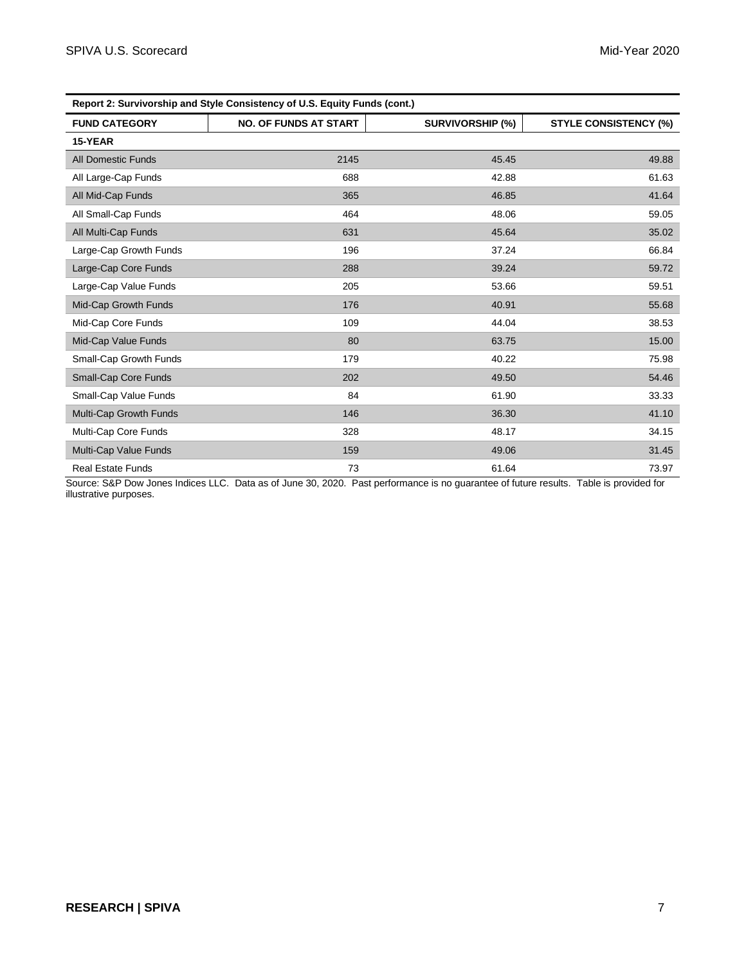| Report 2: Survivorship and Style Consistency of U.S. Equity Funds (cont.) |                              |                         |                              |  |  |
|---------------------------------------------------------------------------|------------------------------|-------------------------|------------------------------|--|--|
| <b>FUND CATEGORY</b>                                                      | <b>NO. OF FUNDS AT START</b> | <b>SURVIVORSHIP (%)</b> | <b>STYLE CONSISTENCY (%)</b> |  |  |
| 15-YEAR                                                                   |                              |                         |                              |  |  |
| <b>All Domestic Funds</b>                                                 | 2145                         | 45.45                   | 49.88                        |  |  |
| All Large-Cap Funds                                                       | 688                          | 42.88                   | 61.63                        |  |  |
| All Mid-Cap Funds                                                         | 365                          | 46.85                   | 41.64                        |  |  |
| All Small-Cap Funds                                                       | 464                          | 48.06                   | 59.05                        |  |  |
| All Multi-Cap Funds                                                       | 631                          | 45.64                   | 35.02                        |  |  |
| Large-Cap Growth Funds                                                    | 196                          | 37.24                   | 66.84                        |  |  |
| Large-Cap Core Funds                                                      | 288                          | 39.24                   | 59.72                        |  |  |
| Large-Cap Value Funds                                                     | 205                          | 53.66                   | 59.51                        |  |  |
| Mid-Cap Growth Funds                                                      | 176                          | 40.91                   | 55.68                        |  |  |
| Mid-Cap Core Funds                                                        | 109                          | 44.04                   | 38.53                        |  |  |
| Mid-Cap Value Funds                                                       | 80                           | 63.75                   | 15.00                        |  |  |
| Small-Cap Growth Funds                                                    | 179                          | 40.22                   | 75.98                        |  |  |
| <b>Small-Cap Core Funds</b>                                               | 202                          | 49.50                   | 54.46                        |  |  |
| Small-Cap Value Funds                                                     | 84                           | 61.90                   | 33.33                        |  |  |
| Multi-Cap Growth Funds                                                    | 146                          | 36.30                   | 41.10                        |  |  |
| Multi-Cap Core Funds                                                      | 328                          | 48.17                   | 34.15                        |  |  |
| Multi-Cap Value Funds                                                     | 159                          | 49.06                   | 31.45                        |  |  |
| <b>Real Estate Funds</b>                                                  | 73                           | 61.64                   | 73.97                        |  |  |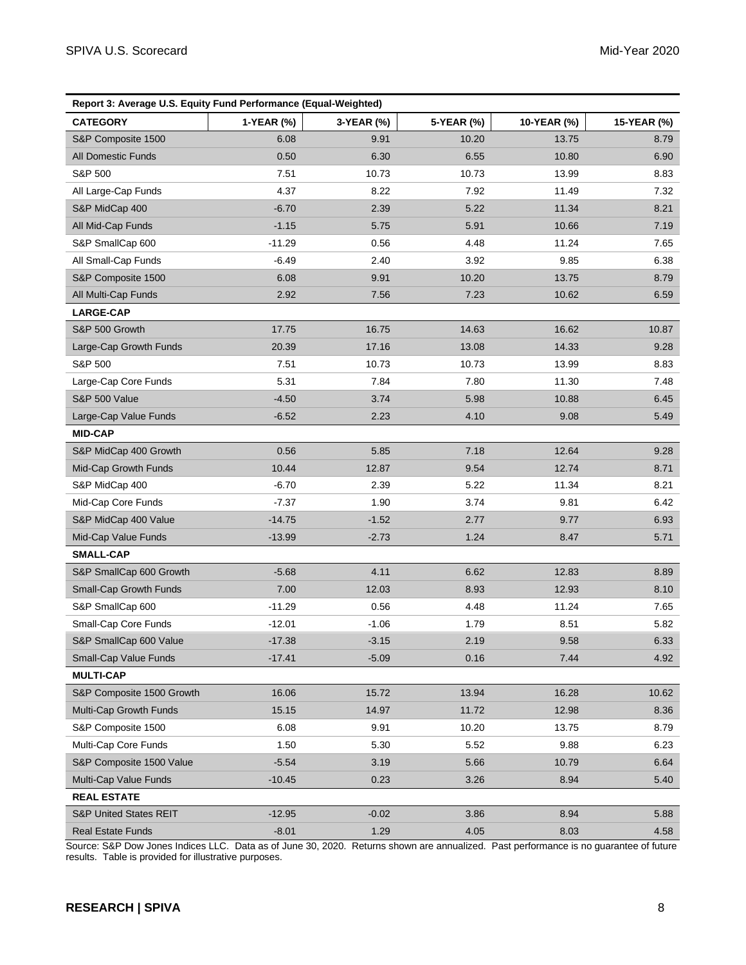|                                   | Report 3: Average U.S. Equity Fund Performance (Equal-Weighted) |            |            |             |             |  |  |
|-----------------------------------|-----------------------------------------------------------------|------------|------------|-------------|-------------|--|--|
| <b>CATEGORY</b>                   | 1-YEAR (%)                                                      | 3-YEAR (%) | 5-YEAR (%) | 10-YEAR (%) | 15-YEAR (%) |  |  |
| S&P Composite 1500                | 6.08                                                            | 9.91       | 10.20      | 13.75       | 8.79        |  |  |
| All Domestic Funds                | 0.50                                                            | 6.30       | 6.55       | 10.80       | 6.90        |  |  |
| S&P 500                           | 7.51                                                            | 10.73      | 10.73      | 13.99       | 8.83        |  |  |
| All Large-Cap Funds               | 4.37                                                            | 8.22       | 7.92       | 11.49       | 7.32        |  |  |
| S&P MidCap 400                    | $-6.70$                                                         | 2.39       | 5.22       | 11.34       | 8.21        |  |  |
| All Mid-Cap Funds                 | $-1.15$                                                         | 5.75       | 5.91       | 10.66       | 7.19        |  |  |
| S&P SmallCap 600                  | $-11.29$                                                        | 0.56       | 4.48       | 11.24       | 7.65        |  |  |
| All Small-Cap Funds               | $-6.49$                                                         | 2.40       | 3.92       | 9.85        | 6.38        |  |  |
| S&P Composite 1500                | 6.08                                                            | 9.91       | 10.20      | 13.75       | 8.79        |  |  |
| All Multi-Cap Funds               | 2.92                                                            | 7.56       | 7.23       | 10.62       | 6.59        |  |  |
| <b>LARGE-CAP</b>                  |                                                                 |            |            |             |             |  |  |
| S&P 500 Growth                    | 17.75                                                           | 16.75      | 14.63      | 16.62       | 10.87       |  |  |
| Large-Cap Growth Funds            | 20.39                                                           | 17.16      | 13.08      | 14.33       | 9.28        |  |  |
| S&P 500                           | 7.51                                                            | 10.73      | 10.73      | 13.99       | 8.83        |  |  |
| Large-Cap Core Funds              | 5.31                                                            | 7.84       | 7.80       | 11.30       | 7.48        |  |  |
| <b>S&amp;P 500 Value</b>          | $-4.50$                                                         | 3.74       | 5.98       | 10.88       | 6.45        |  |  |
| Large-Cap Value Funds             | $-6.52$                                                         | 2.23       | 4.10       | 9.08        | 5.49        |  |  |
| <b>MID-CAP</b>                    |                                                                 |            |            |             |             |  |  |
| S&P MidCap 400 Growth             | 0.56                                                            | 5.85       | 7.18       | 12.64       | 9.28        |  |  |
| Mid-Cap Growth Funds              | 10.44                                                           | 12.87      | 9.54       | 12.74       | 8.71        |  |  |
| S&P MidCap 400                    | $-6.70$                                                         | 2.39       | 5.22       | 11.34       | 8.21        |  |  |
| Mid-Cap Core Funds                | $-7.37$                                                         | 1.90       | 3.74       | 9.81        | 6.42        |  |  |
| S&P MidCap 400 Value              | $-14.75$                                                        | $-1.52$    | 2.77       | 9.77        | 6.93        |  |  |
| Mid-Cap Value Funds               | $-13.99$                                                        | $-2.73$    | 1.24       | 8.47        | 5.71        |  |  |
| <b>SMALL-CAP</b>                  |                                                                 |            |            |             |             |  |  |
| S&P SmallCap 600 Growth           | $-5.68$                                                         | 4.11       | 6.62       | 12.83       | 8.89        |  |  |
| Small-Cap Growth Funds            | 7.00                                                            | 12.03      | 8.93       | 12.93       | 8.10        |  |  |
| S&P SmallCap 600                  | $-11.29$                                                        | 0.56       | 4.48       | 11.24       | 7.65        |  |  |
| Small-Cap Core Funds              | $-12.01$                                                        | $-1.06$    | 1.79       | 8.51        | 5.82        |  |  |
| S&P SmallCap 600 Value            | $-17.38$                                                        | $-3.15$    | 2.19       | 9.58        | 6.33        |  |  |
| Small-Cap Value Funds             | $-17.41$                                                        | $-5.09$    | 0.16       | 7.44        | 4.92        |  |  |
| <b>MULTI-CAP</b>                  |                                                                 |            |            |             |             |  |  |
| S&P Composite 1500 Growth         | 16.06                                                           | 15.72      | 13.94      | 16.28       | 10.62       |  |  |
| Multi-Cap Growth Funds            | 15.15                                                           | 14.97      | 11.72      | 12.98       | 8.36        |  |  |
| S&P Composite 1500                | 6.08                                                            | 9.91       | 10.20      | 13.75       | 8.79        |  |  |
| Multi-Cap Core Funds              | 1.50                                                            | 5.30       | 5.52       | 9.88        | 6.23        |  |  |
| S&P Composite 1500 Value          | $-5.54$                                                         | 3.19       | 5.66       | 10.79       | 6.64        |  |  |
| Multi-Cap Value Funds             | $-10.45$                                                        | 0.23       | 3.26       | 8.94        | 5.40        |  |  |
| <b>REAL ESTATE</b>                |                                                                 |            |            |             |             |  |  |
| <b>S&amp;P United States REIT</b> | $-12.95$                                                        | $-0.02$    | 3.86       | 8.94        | 5.88        |  |  |
| Real Estate Funds                 | $-8.01$                                                         | 1.29       | 4.05       | 8.03        | 4.58        |  |  |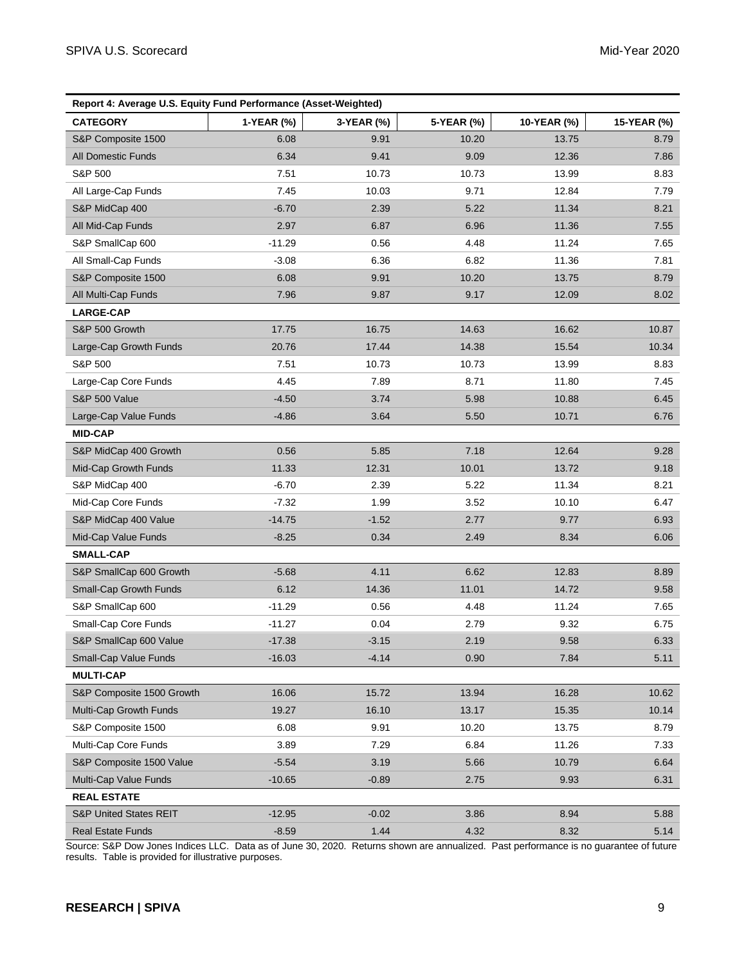| Report 4: Average U.S. Equity Fund Performance (Asset-Weighted) |            |            |            |             |             |  |
|-----------------------------------------------------------------|------------|------------|------------|-------------|-------------|--|
| <b>CATEGORY</b>                                                 | 1-YEAR (%) | 3-YEAR (%) | 5-YEAR (%) | 10-YEAR (%) | 15-YEAR (%) |  |
| S&P Composite 1500                                              | 6.08       | 9.91       | 10.20      | 13.75       | 8.79        |  |
| <b>All Domestic Funds</b>                                       | 6.34       | 9.41       | 9.09       | 12.36       | 7.86        |  |
| S&P 500                                                         | 7.51       | 10.73      | 10.73      | 13.99       | 8.83        |  |
| All Large-Cap Funds                                             | 7.45       | 10.03      | 9.71       | 12.84       | 7.79        |  |
| S&P MidCap 400                                                  | $-6.70$    | 2.39       | 5.22       | 11.34       | 8.21        |  |
| All Mid-Cap Funds                                               | 2.97       | 6.87       | 6.96       | 11.36       | 7.55        |  |
| S&P SmallCap 600                                                | $-11.29$   | 0.56       | 4.48       | 11.24       | 7.65        |  |
| All Small-Cap Funds                                             | $-3.08$    | 6.36       | 6.82       | 11.36       | 7.81        |  |
| S&P Composite 1500                                              | 6.08       | 9.91       | 10.20      | 13.75       | 8.79        |  |
| All Multi-Cap Funds                                             | 7.96       | 9.87       | 9.17       | 12.09       | 8.02        |  |
| <b>LARGE-CAP</b>                                                |            |            |            |             |             |  |
| S&P 500 Growth                                                  | 17.75      | 16.75      | 14.63      | 16.62       | 10.87       |  |
| Large-Cap Growth Funds                                          | 20.76      | 17.44      | 14.38      | 15.54       | 10.34       |  |
| S&P 500                                                         | 7.51       | 10.73      | 10.73      | 13.99       | 8.83        |  |
| Large-Cap Core Funds                                            | 4.45       | 7.89       | 8.71       | 11.80       | 7.45        |  |
| S&P 500 Value                                                   | $-4.50$    | 3.74       | 5.98       | 10.88       | 6.45        |  |
| Large-Cap Value Funds                                           | $-4.86$    | 3.64       | 5.50       | 10.71       | 6.76        |  |
| <b>MID-CAP</b>                                                  |            |            |            |             |             |  |
| S&P MidCap 400 Growth                                           | 0.56       | 5.85       | 7.18       | 12.64       | 9.28        |  |
| Mid-Cap Growth Funds                                            | 11.33      | 12.31      | 10.01      | 13.72       | 9.18        |  |
| S&P MidCap 400                                                  | $-6.70$    | 2.39       | 5.22       | 11.34       | 8.21        |  |
| Mid-Cap Core Funds                                              | $-7.32$    | 1.99       | 3.52       | 10.10       | 6.47        |  |
| S&P MidCap 400 Value                                            | $-14.75$   | $-1.52$    | 2.77       | 9.77        | 6.93        |  |
| Mid-Cap Value Funds                                             | $-8.25$    | 0.34       | 2.49       | 8.34        | 6.06        |  |
| <b>SMALL-CAP</b>                                                |            |            |            |             |             |  |
| S&P SmallCap 600 Growth                                         | $-5.68$    | 4.11       | 6.62       | 12.83       | 8.89        |  |
| Small-Cap Growth Funds                                          | 6.12       | 14.36      | 11.01      | 14.72       | 9.58        |  |
| S&P SmallCap 600                                                | $-11.29$   | 0.56       | 4.48       | 11.24       | 7.65        |  |
| Small-Cap Core Funds                                            | $-11.27$   | 0.04       | 2.79       | 9.32        | 6.75        |  |
| S&P SmallCap 600 Value                                          | $-17.38$   | $-3.15$    | 2.19       | 9.58        | 6.33        |  |
| Small-Cap Value Funds                                           | $-16.03$   | $-4.14$    | 0.90       | 7.84        | 5.11        |  |
| <b>MULTI-CAP</b>                                                |            |            |            |             |             |  |
| S&P Composite 1500 Growth                                       | 16.06      | 15.72      | 13.94      | 16.28       | 10.62       |  |
| Multi-Cap Growth Funds                                          | 19.27      | 16.10      | 13.17      | 15.35       | 10.14       |  |
| S&P Composite 1500                                              | 6.08       | 9.91       | 10.20      | 13.75       | 8.79        |  |
| Multi-Cap Core Funds                                            | 3.89       | 7.29       | 6.84       | 11.26       | 7.33        |  |
| S&P Composite 1500 Value                                        | $-5.54$    | 3.19       | 5.66       | 10.79       | 6.64        |  |
| Multi-Cap Value Funds                                           | $-10.65$   | $-0.89$    | 2.75       | 9.93        | 6.31        |  |
| <b>REAL ESTATE</b>                                              |            |            |            |             |             |  |
| S&P United States REIT                                          | $-12.95$   | $-0.02$    | 3.86       | 8.94        | 5.88        |  |
| Real Estate Funds                                               | $-8.59$    | 1.44       | 4.32       | 8.32        | 5.14        |  |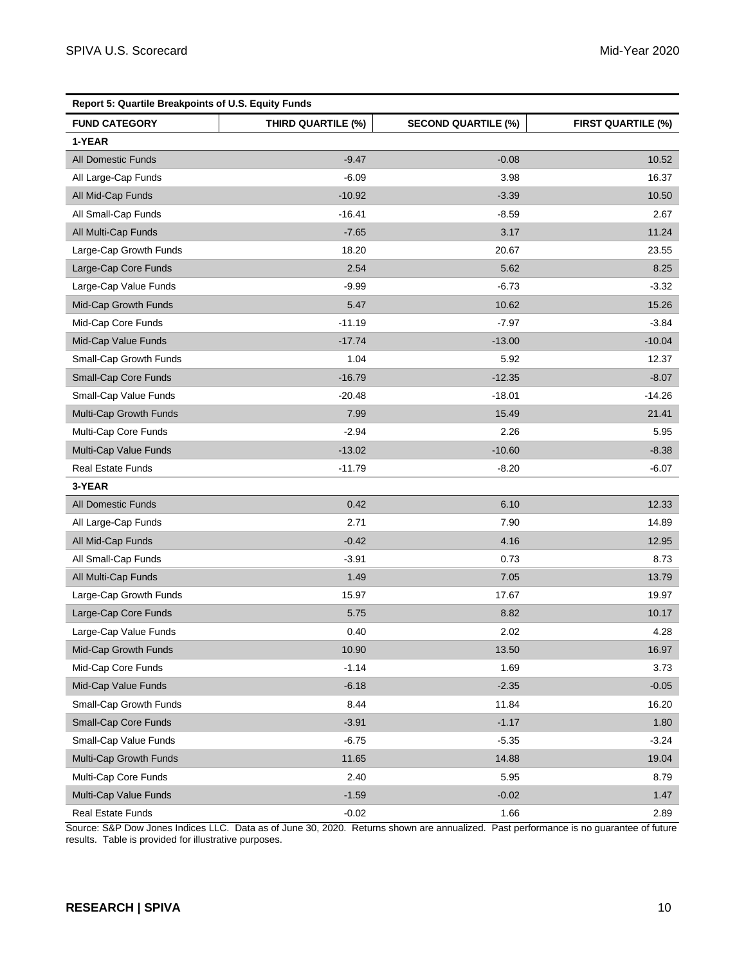| Report 5: Quartile Breakpoints of U.S. Equity Funds |                    |                            |                           |  |  |
|-----------------------------------------------------|--------------------|----------------------------|---------------------------|--|--|
| <b>FUND CATEGORY</b>                                | THIRD QUARTILE (%) | <b>SECOND QUARTILE (%)</b> | <b>FIRST QUARTILE (%)</b> |  |  |
| 1-YEAR                                              |                    |                            |                           |  |  |
| <b>All Domestic Funds</b>                           | $-9.47$            | $-0.08$                    | 10.52                     |  |  |
| All Large-Cap Funds                                 | $-6.09$            | 3.98                       | 16.37                     |  |  |
| All Mid-Cap Funds                                   | $-10.92$           | $-3.39$                    | 10.50                     |  |  |
| All Small-Cap Funds                                 | $-16.41$           | $-8.59$                    | 2.67                      |  |  |
| All Multi-Cap Funds                                 | $-7.65$            | 3.17                       | 11.24                     |  |  |
| Large-Cap Growth Funds                              | 18.20              | 20.67                      | 23.55                     |  |  |
| Large-Cap Core Funds                                | 2.54               | 5.62                       | 8.25                      |  |  |
| Large-Cap Value Funds                               | $-9.99$            | $-6.73$                    | $-3.32$                   |  |  |
| Mid-Cap Growth Funds                                | 5.47               | 10.62                      | 15.26                     |  |  |
| Mid-Cap Core Funds                                  | $-11.19$           | $-7.97$                    | $-3.84$                   |  |  |
| Mid-Cap Value Funds                                 | $-17.74$           | $-13.00$                   | $-10.04$                  |  |  |
| Small-Cap Growth Funds                              | 1.04               | 5.92                       | 12.37                     |  |  |
| Small-Cap Core Funds                                | $-16.79$           | $-12.35$                   | $-8.07$                   |  |  |
| Small-Cap Value Funds                               | $-20.48$           | $-18.01$                   | $-14.26$                  |  |  |
| Multi-Cap Growth Funds                              | 7.99               | 15.49                      | 21.41                     |  |  |
| Multi-Cap Core Funds                                | $-2.94$            | 2.26                       | 5.95                      |  |  |
| Multi-Cap Value Funds                               | $-13.02$           | $-10.60$                   | $-8.38$                   |  |  |
| <b>Real Estate Funds</b>                            | $-11.79$           | $-8.20$                    | $-6.07$                   |  |  |
| 3-YEAR                                              |                    |                            |                           |  |  |
| <b>All Domestic Funds</b>                           | 0.42               | 6.10                       | 12.33                     |  |  |
| All Large-Cap Funds                                 | 2.71               | 7.90                       | 14.89                     |  |  |
| All Mid-Cap Funds                                   | $-0.42$            | 4.16                       | 12.95                     |  |  |
| All Small-Cap Funds                                 | $-3.91$            | 0.73                       | 8.73                      |  |  |
| All Multi-Cap Funds                                 | 1.49               | 7.05                       | 13.79                     |  |  |
| Large-Cap Growth Funds                              | 15.97              | 17.67                      | 19.97                     |  |  |
| Large-Cap Core Funds                                | 5.75               | 8.82                       | 10.17                     |  |  |
| Large-Cap Value Funds                               | 0.40               | 2.02                       | 4.28                      |  |  |
| Mid-Cap Growth Funds                                | 10.90              | 13.50                      | 16.97                     |  |  |
| Mid-Cap Core Funds                                  | $-1.14$            | 1.69                       | 3.73                      |  |  |
| Mid-Cap Value Funds                                 | $-6.18$            | $-2.35$                    | $-0.05$                   |  |  |
| Small-Cap Growth Funds                              | 8.44               | 11.84                      | 16.20                     |  |  |
| Small-Cap Core Funds                                | $-3.91$            | $-1.17$                    | 1.80                      |  |  |
| Small-Cap Value Funds                               | $-6.75$            | $-5.35$                    | $-3.24$                   |  |  |
| Multi-Cap Growth Funds                              | 11.65              | 14.88                      | 19.04                     |  |  |
| Multi-Cap Core Funds                                | 2.40               | 5.95                       | 8.79                      |  |  |
| Multi-Cap Value Funds                               | $-1.59$            | $-0.02$                    | 1.47                      |  |  |
| Real Estate Funds                                   | $-0.02$            | 1.66                       | 2.89                      |  |  |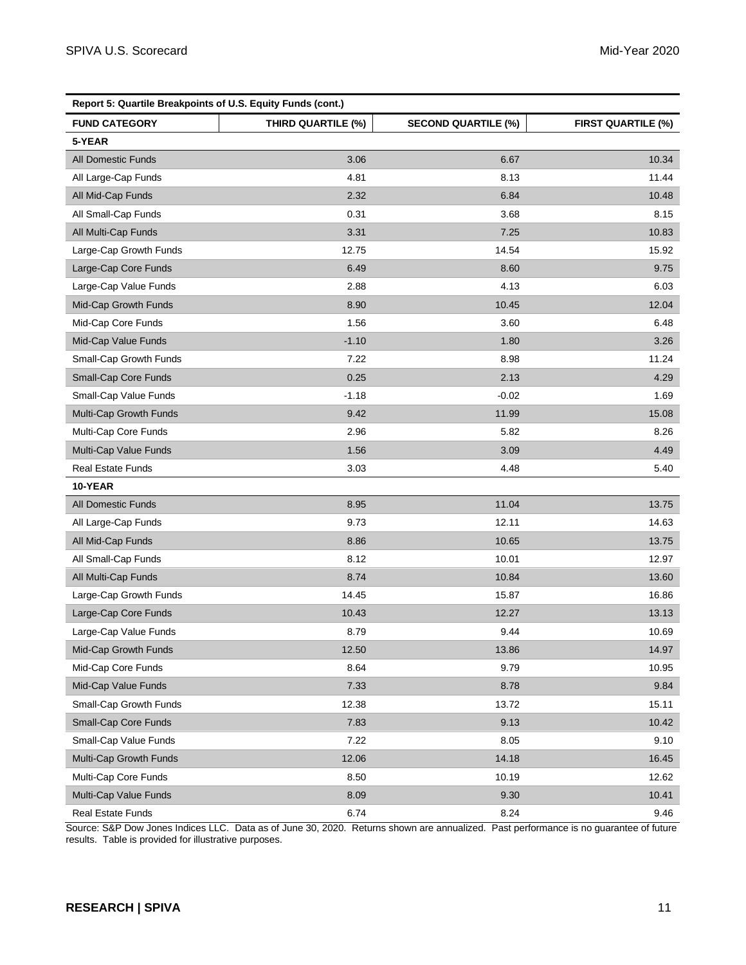| Report 5: Quartile Breakpoints of U.S. Equity Funds (cont.) |                    |                            |                           |  |  |
|-------------------------------------------------------------|--------------------|----------------------------|---------------------------|--|--|
| <b>FUND CATEGORY</b>                                        | THIRD QUARTILE (%) | <b>SECOND QUARTILE (%)</b> | <b>FIRST QUARTILE (%)</b> |  |  |
| 5-YEAR                                                      |                    |                            |                           |  |  |
| <b>All Domestic Funds</b>                                   | 3.06               | 6.67                       | 10.34                     |  |  |
| All Large-Cap Funds                                         | 4.81               | 8.13                       | 11.44                     |  |  |
| All Mid-Cap Funds                                           | 2.32               | 6.84                       | 10.48                     |  |  |
| All Small-Cap Funds                                         | 0.31               | 3.68                       | 8.15                      |  |  |
| All Multi-Cap Funds                                         | 3.31               | 7.25                       | 10.83                     |  |  |
| Large-Cap Growth Funds                                      | 12.75              | 14.54                      | 15.92                     |  |  |
| Large-Cap Core Funds                                        | 6.49               | 8.60                       | 9.75                      |  |  |
| Large-Cap Value Funds                                       | 2.88               | 4.13                       | 6.03                      |  |  |
| Mid-Cap Growth Funds                                        | 8.90               | 10.45                      | 12.04                     |  |  |
| Mid-Cap Core Funds                                          | 1.56               | 3.60                       | 6.48                      |  |  |
| Mid-Cap Value Funds                                         | $-1.10$            | 1.80                       | 3.26                      |  |  |
| Small-Cap Growth Funds                                      | 7.22               | 8.98                       | 11.24                     |  |  |
| Small-Cap Core Funds                                        | 0.25               | 2.13                       | 4.29                      |  |  |
| Small-Cap Value Funds                                       | $-1.18$            | $-0.02$                    | 1.69                      |  |  |
| Multi-Cap Growth Funds                                      | 9.42               | 11.99                      | 15.08                     |  |  |
| Multi-Cap Core Funds                                        | 2.96               | 5.82                       | 8.26                      |  |  |
| Multi-Cap Value Funds                                       | 1.56               | 3.09                       | 4.49                      |  |  |
| <b>Real Estate Funds</b>                                    | 3.03               | 4.48                       | 5.40                      |  |  |
| 10-YEAR                                                     |                    |                            |                           |  |  |
| <b>All Domestic Funds</b>                                   | 8.95               | 11.04                      | 13.75                     |  |  |
| All Large-Cap Funds                                         | 9.73               | 12.11                      | 14.63                     |  |  |
| All Mid-Cap Funds                                           | 8.86               | 10.65                      | 13.75                     |  |  |
| All Small-Cap Funds                                         | 8.12               | 10.01                      | 12.97                     |  |  |
| All Multi-Cap Funds                                         | 8.74               | 10.84                      | 13.60                     |  |  |
| Large-Cap Growth Funds                                      | 14.45              | 15.87                      | 16.86                     |  |  |
| Large-Cap Core Funds                                        | 10.43              | 12.27                      | 13.13                     |  |  |
| Large-Cap Value Funds                                       | 8.79               | 9.44                       | 10.69                     |  |  |
| Mid-Cap Growth Funds                                        | 12.50              | 13.86                      | 14.97                     |  |  |
| Mid-Cap Core Funds                                          | 8.64               | 9.79                       | 10.95                     |  |  |
| Mid-Cap Value Funds                                         | 7.33               | 8.78                       | 9.84                      |  |  |
| Small-Cap Growth Funds                                      | 12.38              | 13.72                      | 15.11                     |  |  |
| Small-Cap Core Funds                                        | 7.83               | 9.13                       | 10.42                     |  |  |
| Small-Cap Value Funds                                       | 7.22               | 8.05                       | 9.10                      |  |  |
| Multi-Cap Growth Funds                                      | 12.06              | 14.18                      | 16.45                     |  |  |
| Multi-Cap Core Funds                                        | 8.50               | 10.19                      | 12.62                     |  |  |
| Multi-Cap Value Funds                                       | 8.09               | 9.30                       | 10.41                     |  |  |
| Real Estate Funds                                           | 6.74               | 8.24                       | 9.46                      |  |  |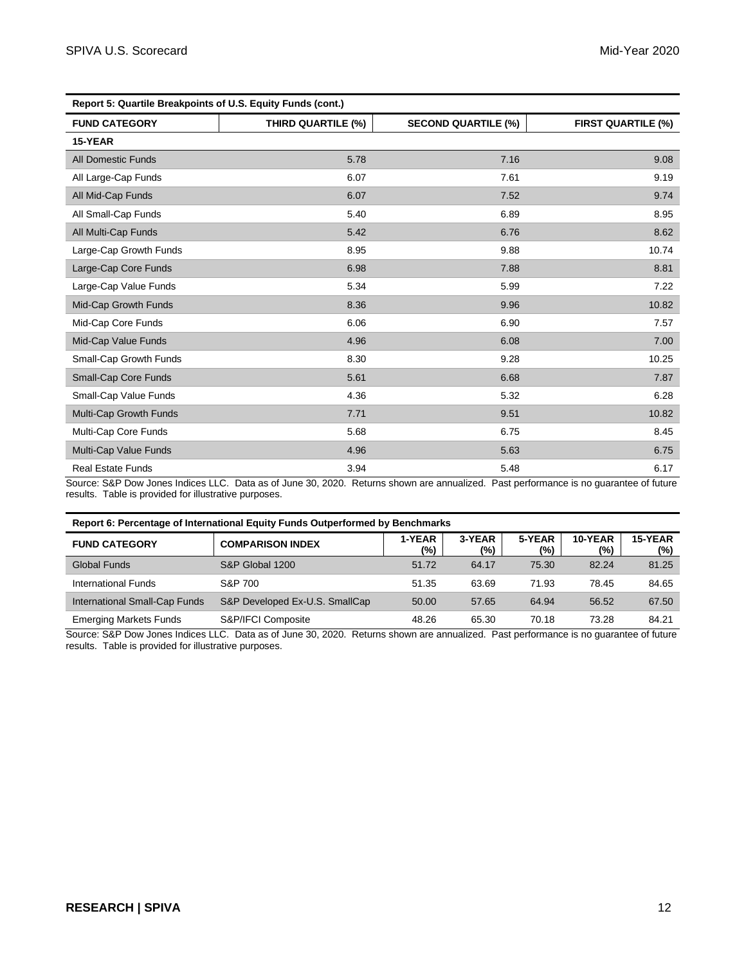| Report 5: Quartile Breakpoints of U.S. Equity Funds (cont.) |                    |                            |                           |  |  |
|-------------------------------------------------------------|--------------------|----------------------------|---------------------------|--|--|
| <b>FUND CATEGORY</b>                                        | THIRD QUARTILE (%) | <b>SECOND QUARTILE (%)</b> | <b>FIRST QUARTILE (%)</b> |  |  |
| 15-YEAR                                                     |                    |                            |                           |  |  |
| <b>All Domestic Funds</b>                                   | 5.78               | 7.16                       | 9.08                      |  |  |
| All Large-Cap Funds                                         | 6.07               | 7.61                       | 9.19                      |  |  |
| All Mid-Cap Funds                                           | 6.07               | 7.52                       | 9.74                      |  |  |
| All Small-Cap Funds                                         | 5.40               | 6.89                       | 8.95                      |  |  |
| All Multi-Cap Funds                                         | 5.42               | 6.76                       | 8.62                      |  |  |
| Large-Cap Growth Funds                                      | 8.95               | 9.88                       | 10.74                     |  |  |
| Large-Cap Core Funds                                        | 6.98               | 7.88                       | 8.81                      |  |  |
| Large-Cap Value Funds                                       | 5.34               | 5.99                       | 7.22                      |  |  |
| Mid-Cap Growth Funds                                        | 8.36               | 9.96                       | 10.82                     |  |  |
| Mid-Cap Core Funds                                          | 6.06               | 6.90                       | 7.57                      |  |  |
| Mid-Cap Value Funds                                         | 4.96               | 6.08                       | 7.00                      |  |  |
| Small-Cap Growth Funds                                      | 8.30               | 9.28                       | 10.25                     |  |  |
| Small-Cap Core Funds                                        | 5.61               | 6.68                       | 7.87                      |  |  |
| Small-Cap Value Funds                                       | 4.36               | 5.32                       | 6.28                      |  |  |
| Multi-Cap Growth Funds                                      | 7.71               | 9.51                       | 10.82                     |  |  |
| Multi-Cap Core Funds                                        | 5.68               | 6.75                       | 8.45                      |  |  |
| Multi-Cap Value Funds                                       | 4.96               | 5.63                       | 6.75                      |  |  |
| <b>Real Estate Funds</b>                                    | 3.94               | 5.48                       | 6.17                      |  |  |

| Report 6: Percentage of International Equity Funds Outperformed by Benchmarks |                                |               |               |                  |                |                |
|-------------------------------------------------------------------------------|--------------------------------|---------------|---------------|------------------|----------------|----------------|
| <b>FUND CATEGORY</b>                                                          | <b>COMPARISON INDEX</b>        | 1-YEAR<br>(%) | 3-YEAR<br>(9) | 5-YEAR<br>$(\%)$ | 10-YEAR<br>(%) | 15-YEAR<br>(%) |
| Global Funds                                                                  | S&P Global 1200                | 51.72         | 64.17         | 75.30            | 82.24          | 81.25          |
| <b>International Funds</b>                                                    | S&P 700                        | 51.35         | 63.69         | 71.93            | 78.45          | 84.65          |
| International Small-Cap Funds                                                 | S&P Developed Ex-U.S. SmallCap | 50.00         | 57.65         | 64.94            | 56.52          | 67.50          |
| <b>Emerging Markets Funds</b>                                                 | S&P/IFCI Composite             | 48.26         | 65.30         | 70.18            | 73.28          | 84.21          |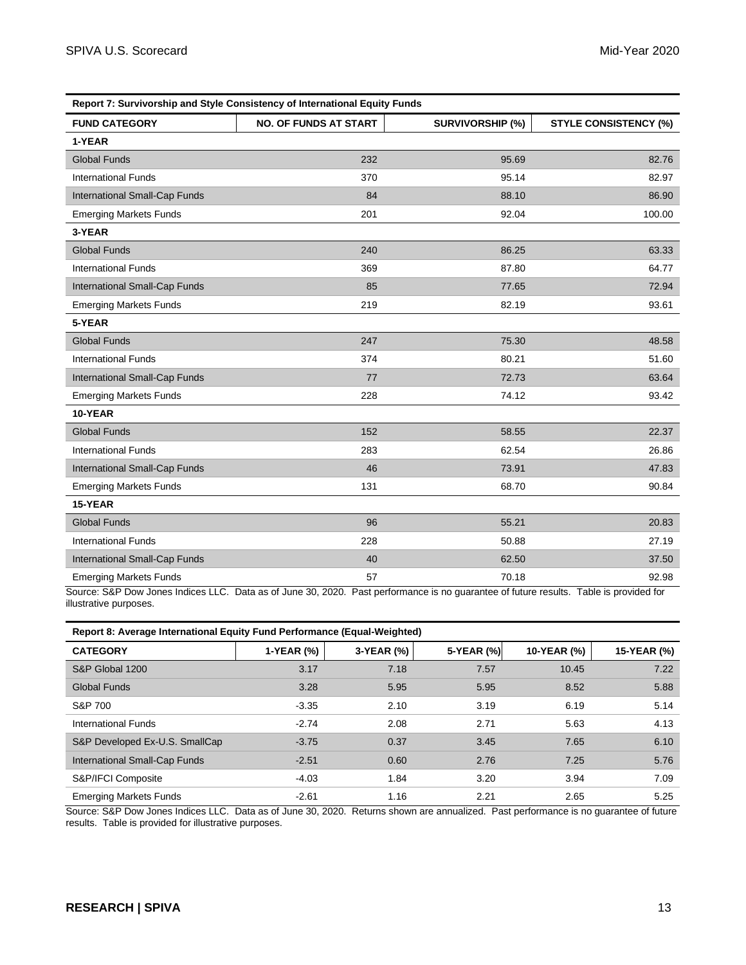| Report 7: Survivorship and Style Consistency of International Equity Funds |                              |                         |                              |  |  |  |
|----------------------------------------------------------------------------|------------------------------|-------------------------|------------------------------|--|--|--|
| <b>FUND CATEGORY</b>                                                       | <b>NO. OF FUNDS AT START</b> | <b>SURVIVORSHIP (%)</b> | <b>STYLE CONSISTENCY (%)</b> |  |  |  |
| 1-YEAR                                                                     |                              |                         |                              |  |  |  |
| <b>Global Funds</b>                                                        | 232                          | 95.69                   | 82.76                        |  |  |  |
| <b>International Funds</b>                                                 | 370                          | 95.14                   | 82.97                        |  |  |  |
| International Small-Cap Funds                                              | 84                           | 88.10                   | 86.90                        |  |  |  |
| <b>Emerging Markets Funds</b>                                              | 201                          | 92.04                   | 100.00                       |  |  |  |
| 3-YEAR                                                                     |                              |                         |                              |  |  |  |
| <b>Global Funds</b>                                                        | 240                          | 86.25                   | 63.33                        |  |  |  |
| <b>International Funds</b>                                                 | 369                          | 87.80                   | 64.77                        |  |  |  |
| International Small-Cap Funds                                              | 85                           | 77.65                   | 72.94                        |  |  |  |
| <b>Emerging Markets Funds</b>                                              | 219                          | 82.19                   | 93.61                        |  |  |  |
| 5-YEAR                                                                     |                              |                         |                              |  |  |  |
| <b>Global Funds</b>                                                        | 247                          | 75.30                   | 48.58                        |  |  |  |
| <b>International Funds</b>                                                 | 374                          | 80.21                   | 51.60                        |  |  |  |
| International Small-Cap Funds                                              | 77                           | 72.73                   | 63.64                        |  |  |  |
| <b>Emerging Markets Funds</b>                                              | 228                          | 74.12                   | 93.42                        |  |  |  |
| 10-YEAR                                                                    |                              |                         |                              |  |  |  |
| <b>Global Funds</b>                                                        | 152                          | 58.55                   | 22.37                        |  |  |  |
| <b>International Funds</b>                                                 | 283                          | 62.54                   | 26.86                        |  |  |  |
| International Small-Cap Funds                                              | 46                           | 73.91                   | 47.83                        |  |  |  |
| <b>Emerging Markets Funds</b>                                              | 131                          | 68.70                   | 90.84                        |  |  |  |
| 15-YEAR                                                                    |                              |                         |                              |  |  |  |
| <b>Global Funds</b>                                                        | 96                           | 55.21                   | 20.83                        |  |  |  |
| <b>International Funds</b>                                                 | 228                          | 50.88                   | 27.19                        |  |  |  |
| International Small-Cap Funds                                              | 40                           | 62.50                   | 37.50                        |  |  |  |
| <b>Emerging Markets Funds</b>                                              | 57                           | 70.18                   | 92.98                        |  |  |  |

**Report 8: Average International Equity Fund Performance (Equal-Weighted)**

| <b>CATEGORY</b>                | 1-YEAR (%) | 3-YEAR (%) | 5-YEAR (%) | 10-YEAR (%) | 15-YEAR (%) |
|--------------------------------|------------|------------|------------|-------------|-------------|
| S&P Global 1200                | 3.17       | 7.18       | 7.57       | 10.45       | 7.22        |
| Global Funds                   | 3.28       | 5.95       | 5.95       | 8.52        | 5.88        |
| S&P 700                        | $-3.35$    | 2.10       | 3.19       | 6.19        | 5.14        |
| <b>International Funds</b>     | $-2.74$    | 2.08       | 2.71       | 5.63        | 4.13        |
| S&P Developed Ex-U.S. SmallCap | $-3.75$    | 0.37       | 3.45       | 7.65        | 6.10        |
| International Small-Cap Funds  | $-2.51$    | 0.60       | 2.76       | 7.25        | 5.76        |
| S&P/IFCI Composite             | $-4.03$    | 1.84       | 3.20       | 3.94        | 7.09        |
| <b>Emerging Markets Funds</b>  | $-2.61$    | 1.16       | 2.21       | 2.65        | 5.25        |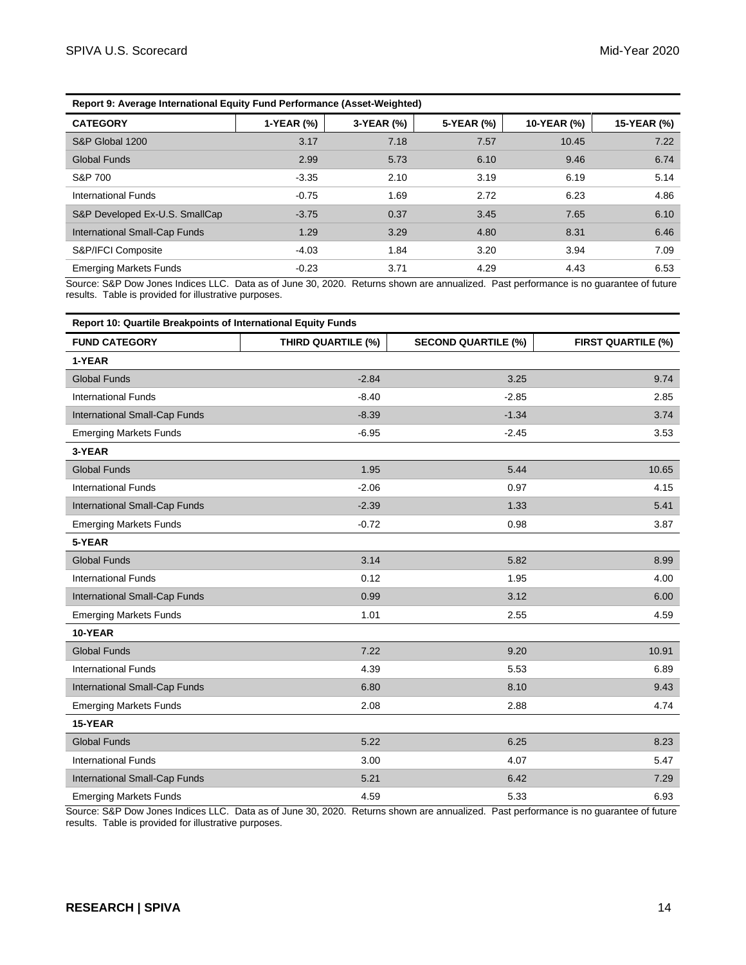| Report 9: Average International Equity Fund Performance (Asset-Weighted) |            |            |            |             |             |
|--------------------------------------------------------------------------|------------|------------|------------|-------------|-------------|
| <b>CATEGORY</b>                                                          | 1-YEAR (%) | 3-YEAR (%) | 5-YEAR (%) | 10-YEAR (%) | 15-YEAR (%) |
| S&P Global 1200                                                          | 3.17       | 7.18       | 7.57       | 10.45       | 7.22        |
| Global Funds                                                             | 2.99       | 5.73       | 6.10       | 9.46        | 6.74        |
| S&P 700                                                                  | $-3.35$    | 2.10       | 3.19       | 6.19        | 5.14        |
| International Funds                                                      | $-0.75$    | 1.69       | 2.72       | 6.23        | 4.86        |
| S&P Developed Ex-U.S. SmallCap                                           | $-3.75$    | 0.37       | 3.45       | 7.65        | 6.10        |
| <b>International Small-Cap Funds</b>                                     | 1.29       | 3.29       | 4.80       | 8.31        | 6.46        |
| S&P/IFCI Composite                                                       | $-4.03$    | 1.84       | 3.20       | 3.94        | 7.09        |
| <b>Emerging Markets Funds</b>                                            | $-0.23$    | 3.71       | 4.29       | 4.43        | 6.53        |

**Report 10: Quartile Breakpoints of International Equity Funds FUND CATEGORY THIRD QUARTILE (%) SECOND QUARTILE (%) FIRST QUARTILE (%) 1-YEAR** Global Funds -2.84 3.25 9.74 International Funds -8.40 -2.85 2.85 2.85 International Small-Cap Funds -8.39 -1.34 -1.34 3.74 Emerging Markets Funds 3.53 and the set of the set of the set of the set of the set of the set of the set of the set of the set of the set of the set of the set of the set of the set of the set of the set of the set of the **3-YEAR** Global Funds 1.95 5.44 10.65 International Funds 4.15 International Small-Cap Funds -2.39 1.33 5.41 5.41 Emerging Markets Funds 3.87 and the contract of the contract of the contract of the contract of the contract of the contract of the contract of the contract of the contract of the contract of the contract of the contract o **5-YEAR** Global Funds 3.14 5.82 8.99 International Funds 6 and 1.95 and 1.95 and 1.95 and 1.95 and 1.95 and 1.95 and 1.95 and 1.95 and 1.95 and 1.95 and 1.95 and 1.95 and 1.95 and 1.95 and 1.95 and 1.95 and 1.95 and 1.95 and 1.95 and 1.95 and 1.95 and 1.95 an International Small-Cap Funds 6.00 3.12 6.00 Emerging Markets Funds and the state of the state of the 1.01 and the 1.01 and 1.01 and 1.01 and 1.01 and 1.01 and 1.09 and 1.09 and 1.01 and 1.01 and 1.01 and 1.01 and 1.01 and 1.01 and 1.01 and 1.01 and 1.01 and 1.01 and **10-YEAR** Global Funds 7.22 9.20 10.91 International Funds 6.89 (6.89 and 5.53 for the funds of the funds of the funds of the funds of the funds of the funds of the funds of the funds of the funds of the funds of the funds of the funds of the funds of the funds International Small-Cap Funds 6.80 8.10 8.10 9.43 Emerging Markets Funds and the control of the control of the 2.08 and 2.88 and 2.88 and 2.88 and 4.74 and 4.74 **15-YEAR** Global Funds 5.22 6.25 8.23 International Funds 6.47 Section 1.1 and 5.47 Section 1.1 and 5.47 Section 1.1 and 5.47 Section 1.1 and 5.47 Section 1.1 and 5.47 Section 1.1 and 5.47 Section 1.1 and 5.47 Section 1.1 and 5.47 Section 1.1 and 5.47 Section International Small-Cap Funds 5.21 6.42 6.42 7.29 Emerging Markets Funds 6.93 and the state of the 4.59 and 4.59 and 5.33 and 5.33 and 5.93 and 5.93 and 5.93 and 5.93 and 5.93 and 5.93 and 5.93 and 5.93 and 5.93 and 5.93 and 5.93 and 5.93 and 5.93 and 5.93 and 5.93 and 5.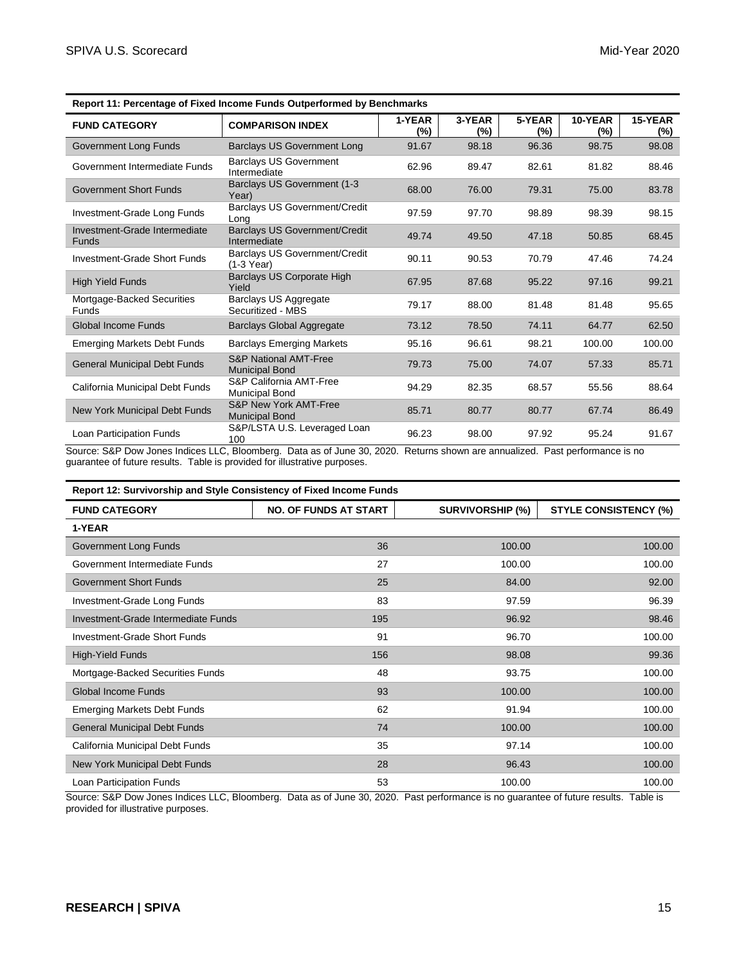| <b>FUND CATEGORY</b>                          | <b>COMPARISON INDEX</b>                                   | 1-YEAR<br>(%) | 3-YEAR<br>(%) | 5-YEAR<br>$(\%)$ | 10-YEAR<br>$(\%)$ | 15-YEAR<br>$(\%)$ |
|-----------------------------------------------|-----------------------------------------------------------|---------------|---------------|------------------|-------------------|-------------------|
| Government Long Funds                         | Barclays US Government Long                               | 91.67         | 98.18         | 96.36            | 98.75             | 98.08             |
| Government Intermediate Funds                 | <b>Barclays US Government</b><br>Intermediate             | 62.96         | 89.47         | 82.61            | 81.82             | 88.46             |
| <b>Government Short Funds</b>                 | <b>Barclays US Government (1-3)</b><br>Year)              | 68.00         | 76.00         | 79.31            | 75.00             | 83.78             |
| Investment-Grade Long Funds                   | Barclays US Government/Credit<br>Long                     | 97.59         | 97.70         | 98.89            | 98.39             | 98.15             |
| Investment-Grade Intermediate<br><b>Funds</b> | <b>Barclays US Government/Credit</b><br>Intermediate      | 49.74         | 49.50         | 47.18            | 50.85             | 68.45             |
| Investment-Grade Short Funds                  | <b>Barclays US Government/Credit</b><br>(1-3 Year)        | 90.11         | 90.53         | 70.79            | 47.46             | 74.24             |
| <b>High Yield Funds</b>                       | Barclays US Corporate High<br>Yield                       | 67.95         | 87.68         | 95.22            | 97.16             | 99.21             |
| Mortgage-Backed Securities<br>Funds           | Barclays US Aggregate<br>Securitized - MBS                | 79.17         | 88.00         | 81.48            | 81.48             | 95.65             |
| Global Income Funds                           | <b>Barclays Global Aggregate</b>                          | 73.12         | 78.50         | 74.11            | 64.77             | 62.50             |
| <b>Emerging Markets Debt Funds</b>            | <b>Barclays Emerging Markets</b>                          | 95.16         | 96.61         | 98.21            | 100.00            | 100.00            |
| <b>General Municipal Debt Funds</b>           | <b>S&amp;P National AMT-Free</b><br><b>Municipal Bond</b> | 79.73         | 75.00         | 74.07            | 57.33             | 85.71             |
| California Municipal Debt Funds               | S&P California AMT-Free<br><b>Municipal Bond</b>          | 94.29         | 82.35         | 68.57            | 55.56             | 88.64             |
| New York Municipal Debt Funds                 | S&P New York AMT-Free<br><b>Municipal Bond</b>            | 85.71         | 80.77         | 80.77            | 67.74             | 86.49             |
| Loan Participation Funds                      | S&P/LSTA U.S. Leveraged Loan<br>100                       | 96.23         | 98.00         | 97.92            | 95.24             | 91.67             |

**Report 11: Percentage of Fixed Income Funds Outperformed by Benchmarks**

Source: S&P Dow Jones Indices LLC, Bloomberg. Data as of June 30, 2020. Returns shown are annualized. Past performance is no guarantee of future results. Table is provided for illustrative purposes.

| <b>Report 12: Survivorship and Style Consistency of Fixed Income Funds</b> |                              |                         |                              |
|----------------------------------------------------------------------------|------------------------------|-------------------------|------------------------------|
| <b>FUND CATEGORY</b>                                                       | <b>NO. OF FUNDS AT START</b> | <b>SURVIVORSHIP (%)</b> | <b>STYLE CONSISTENCY (%)</b> |
| 1-YEAR                                                                     |                              |                         |                              |
| Government Long Funds                                                      | 36                           | 100.00                  | 100.00                       |
| Government Intermediate Funds                                              | 27                           | 100.00                  | 100.00                       |
| <b>Government Short Funds</b>                                              | 25                           | 84.00                   | 92.00                        |
| Investment-Grade Long Funds                                                | 83                           | 97.59                   | 96.39                        |
| Investment-Grade Intermediate Funds                                        | 195                          | 96.92                   | 98.46                        |
| Investment-Grade Short Funds                                               | 91                           | 96.70                   | 100.00                       |
| High-Yield Funds                                                           | 156                          | 98.08                   | 99.36                        |
| Mortgage-Backed Securities Funds                                           | 48                           | 93.75                   | 100.00                       |
| <b>Global Income Funds</b>                                                 | 93                           | 100.00                  | 100.00                       |
| <b>Emerging Markets Debt Funds</b>                                         | 62                           | 91.94                   | 100.00                       |
| <b>General Municipal Debt Funds</b>                                        | 74                           | 100.00                  | 100.00                       |
| California Municipal Debt Funds                                            | 35                           | 97.14                   | 100.00                       |
| New York Municipal Debt Funds                                              | 28                           | 96.43                   | 100.00                       |
| Loan Participation Funds                                                   | 53                           | 100.00                  | 100.00                       |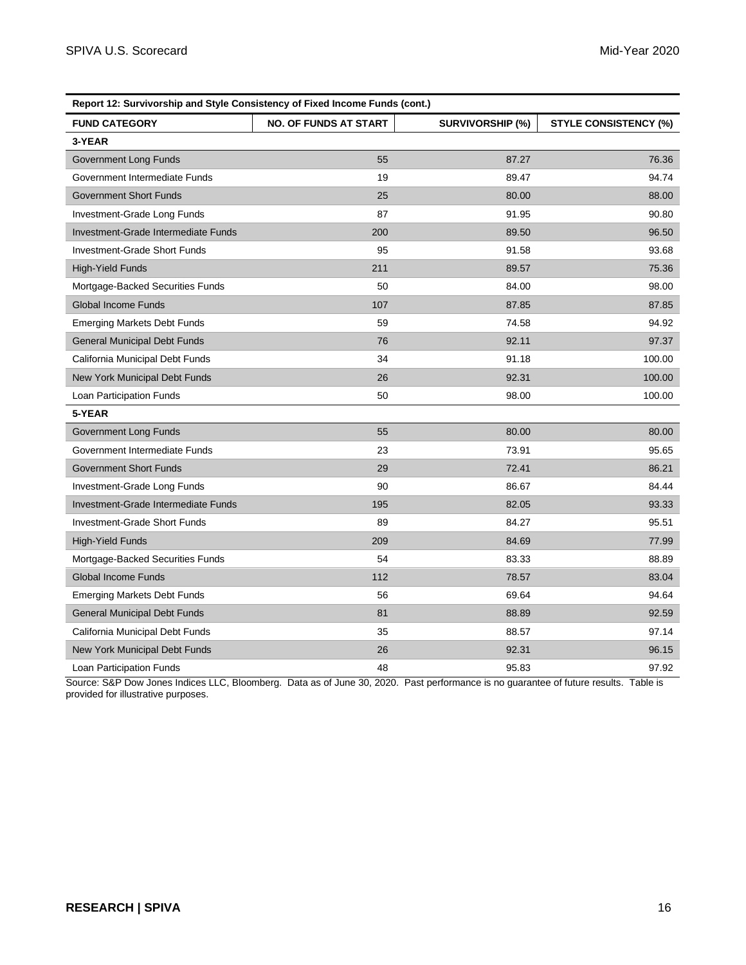| Report 12: Survivorship and Style Consistency of Fixed Income Funds (cont.) |                              |                         |                              |
|-----------------------------------------------------------------------------|------------------------------|-------------------------|------------------------------|
| <b>FUND CATEGORY</b>                                                        | <b>NO. OF FUNDS AT START</b> | <b>SURVIVORSHIP (%)</b> | <b>STYLE CONSISTENCY (%)</b> |
| 3-YEAR                                                                      |                              |                         |                              |
| Government Long Funds                                                       | 55                           | 87.27                   | 76.36                        |
| Government Intermediate Funds                                               | 19                           | 89.47                   | 94.74                        |
| <b>Government Short Funds</b>                                               | 25                           | 80.00                   | 88.00                        |
| Investment-Grade Long Funds                                                 | 87                           | 91.95                   | 90.80                        |
| Investment-Grade Intermediate Funds                                         | 200                          | 89.50                   | 96.50                        |
| Investment-Grade Short Funds                                                | 95                           | 91.58                   | 93.68                        |
| <b>High-Yield Funds</b>                                                     | 211                          | 89.57                   | 75.36                        |
| Mortgage-Backed Securities Funds                                            | 50                           | 84.00                   | 98.00                        |
| <b>Global Income Funds</b>                                                  | 107                          | 87.85                   | 87.85                        |
| <b>Emerging Markets Debt Funds</b>                                          | 59                           | 74.58                   | 94.92                        |
| <b>General Municipal Debt Funds</b>                                         | 76                           | 92.11                   | 97.37                        |
| California Municipal Debt Funds                                             | 34                           | 91.18                   | 100.00                       |
| New York Municipal Debt Funds                                               | 26                           | 92.31                   | 100.00                       |
| Loan Participation Funds                                                    | 50                           | 98.00                   | 100.00                       |
| 5-YEAR                                                                      |                              |                         |                              |
| Government Long Funds                                                       | 55                           | 80.00                   | 80.00                        |
| Government Intermediate Funds                                               | 23                           | 73.91                   | 95.65                        |
| <b>Government Short Funds</b>                                               | 29                           | 72.41                   | 86.21                        |
| Investment-Grade Long Funds                                                 | 90                           | 86.67                   | 84.44                        |
| Investment-Grade Intermediate Funds                                         | 195                          | 82.05                   | 93.33                        |
| <b>Investment-Grade Short Funds</b>                                         | 89                           | 84.27                   | 95.51                        |
| <b>High-Yield Funds</b>                                                     | 209                          | 84.69                   | 77.99                        |
| Mortgage-Backed Securities Funds                                            | 54                           | 83.33                   | 88.89                        |
| <b>Global Income Funds</b>                                                  | 112                          | 78.57                   | 83.04                        |
| <b>Emerging Markets Debt Funds</b>                                          | 56                           | 69.64                   | 94.64                        |
| <b>General Municipal Debt Funds</b>                                         | 81                           | 88.89                   | 92.59                        |
| California Municipal Debt Funds                                             | 35                           | 88.57                   | 97.14                        |
| New York Municipal Debt Funds                                               | 26                           | 92.31                   | 96.15                        |
| Loan Participation Funds                                                    | 48                           | 95.83                   | 97.92                        |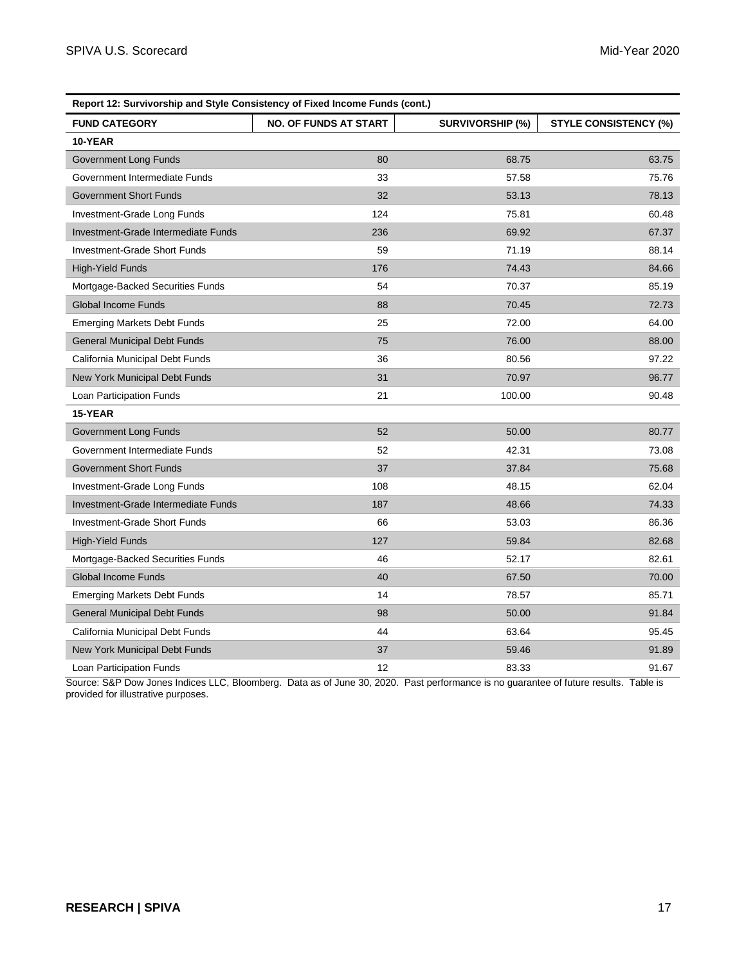| Report 12: Survivorship and Style Consistency of Fixed Income Funds (cont.) |                              |                         |                              |
|-----------------------------------------------------------------------------|------------------------------|-------------------------|------------------------------|
| <b>FUND CATEGORY</b>                                                        | <b>NO. OF FUNDS AT START</b> | <b>SURVIVORSHIP (%)</b> | <b>STYLE CONSISTENCY (%)</b> |
| 10-YEAR                                                                     |                              |                         |                              |
| Government Long Funds                                                       | 80                           | 68.75                   | 63.75                        |
| Government Intermediate Funds                                               | 33                           | 57.58                   | 75.76                        |
| <b>Government Short Funds</b>                                               | 32                           | 53.13                   | 78.13                        |
| Investment-Grade Long Funds                                                 | 124                          | 75.81                   | 60.48                        |
| Investment-Grade Intermediate Funds                                         | 236                          | 69.92                   | 67.37                        |
| Investment-Grade Short Funds                                                | 59                           | 71.19                   | 88.14                        |
| <b>High-Yield Funds</b>                                                     | 176                          | 74.43                   | 84.66                        |
| Mortgage-Backed Securities Funds                                            | 54                           | 70.37                   | 85.19                        |
| <b>Global Income Funds</b>                                                  | 88                           | 70.45                   | 72.73                        |
| <b>Emerging Markets Debt Funds</b>                                          | 25                           | 72.00                   | 64.00                        |
| <b>General Municipal Debt Funds</b>                                         | 75                           | 76.00                   | 88.00                        |
| California Municipal Debt Funds                                             | 36                           | 80.56                   | 97.22                        |
| New York Municipal Debt Funds                                               | 31                           | 70.97                   | 96.77                        |
| Loan Participation Funds                                                    | 21                           | 100.00                  | 90.48                        |
| 15-YEAR                                                                     |                              |                         |                              |
| Government Long Funds                                                       | 52                           | 50.00                   | 80.77                        |
| Government Intermediate Funds                                               | 52                           | 42.31                   | 73.08                        |
| <b>Government Short Funds</b>                                               | 37                           | 37.84                   | 75.68                        |
| Investment-Grade Long Funds                                                 | 108                          | 48.15                   | 62.04                        |
| Investment-Grade Intermediate Funds                                         | 187                          | 48.66                   | 74.33                        |
| Investment-Grade Short Funds                                                | 66                           | 53.03                   | 86.36                        |
| <b>High-Yield Funds</b>                                                     | 127                          | 59.84                   | 82.68                        |
| Mortgage-Backed Securities Funds                                            | 46                           | 52.17                   | 82.61                        |
| <b>Global Income Funds</b>                                                  | 40                           | 67.50                   | 70.00                        |
| <b>Emerging Markets Debt Funds</b>                                          | 14                           | 78.57                   | 85.71                        |
| <b>General Municipal Debt Funds</b>                                         | 98                           | 50.00                   | 91.84                        |
| California Municipal Debt Funds                                             | 44                           | 63.64                   | 95.45                        |
| New York Municipal Debt Funds                                               | 37                           | 59.46                   | 91.89                        |
| Loan Participation Funds                                                    | 12                           | 83.33                   | 91.67                        |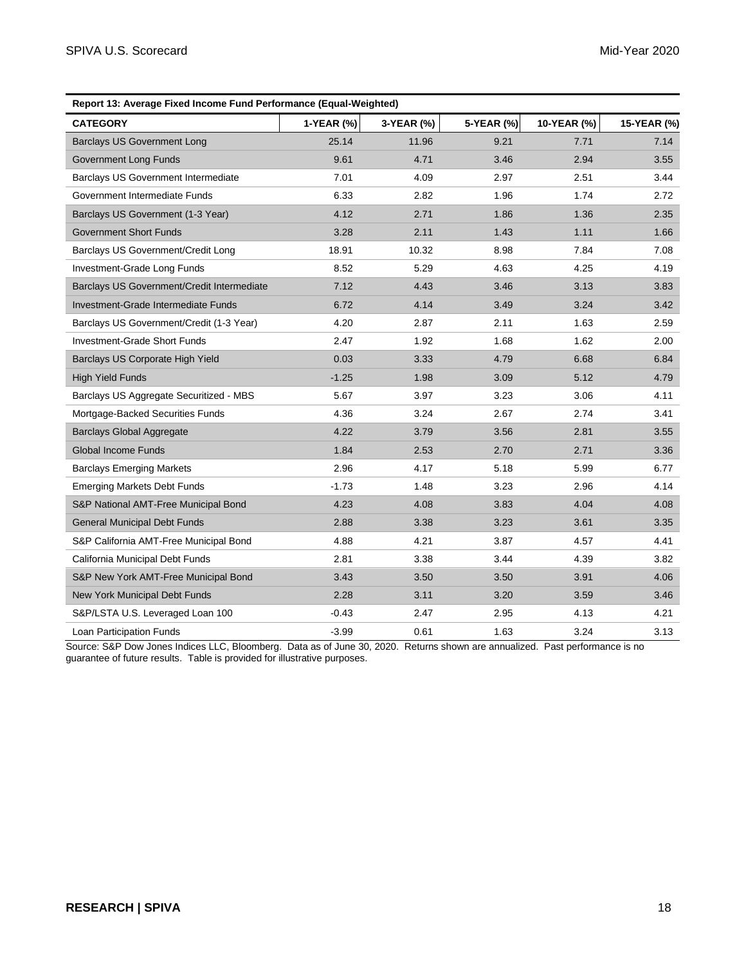| Report 13: Average Fixed Income Fund Performance (Equal-Weighted) |            |            |            |             |             |
|-------------------------------------------------------------------|------------|------------|------------|-------------|-------------|
| <b>CATEGORY</b>                                                   | 1-YEAR (%) | 3-YEAR (%) | 5-YEAR (%) | 10-YEAR (%) | 15-YEAR (%) |
| <b>Barclays US Government Long</b>                                | 25.14      | 11.96      | 9.21       | 7.71        | 7.14        |
| Government Long Funds                                             | 9.61       | 4.71       | 3.46       | 2.94        | 3.55        |
| <b>Barclays US Government Intermediate</b>                        | 7.01       | 4.09       | 2.97       | 2.51        | 3.44        |
| Government Intermediate Funds                                     | 6.33       | 2.82       | 1.96       | 1.74        | 2.72        |
| Barclays US Government (1-3 Year)                                 | 4.12       | 2.71       | 1.86       | 1.36        | 2.35        |
| <b>Government Short Funds</b>                                     | 3.28       | 2.11       | 1.43       | 1.11        | 1.66        |
| Barclays US Government/Credit Long                                | 18.91      | 10.32      | 8.98       | 7.84        | 7.08        |
| Investment-Grade Long Funds                                       | 8.52       | 5.29       | 4.63       | 4.25        | 4.19        |
| Barclays US Government/Credit Intermediate                        | 7.12       | 4.43       | 3.46       | 3.13        | 3.83        |
| Investment-Grade Intermediate Funds                               | 6.72       | 4.14       | 3.49       | 3.24        | 3.42        |
| Barclays US Government/Credit (1-3 Year)                          | 4.20       | 2.87       | 2.11       | 1.63        | 2.59        |
| <b>Investment-Grade Short Funds</b>                               | 2.47       | 1.92       | 1.68       | 1.62        | 2.00        |
| Barclays US Corporate High Yield                                  | 0.03       | 3.33       | 4.79       | 6.68        | 6.84        |
| <b>High Yield Funds</b>                                           | $-1.25$    | 1.98       | 3.09       | 5.12        | 4.79        |
| Barclays US Aggregate Securitized - MBS                           | 5.67       | 3.97       | 3.23       | 3.06        | 4.11        |
| Mortgage-Backed Securities Funds                                  | 4.36       | 3.24       | 2.67       | 2.74        | 3.41        |
| <b>Barclays Global Aggregate</b>                                  | 4.22       | 3.79       | 3.56       | 2.81        | 3.55        |
| <b>Global Income Funds</b>                                        | 1.84       | 2.53       | 2.70       | 2.71        | 3.36        |
| <b>Barclays Emerging Markets</b>                                  | 2.96       | 4.17       | 5.18       | 5.99        | 6.77        |
| <b>Emerging Markets Debt Funds</b>                                | $-1.73$    | 1.48       | 3.23       | 2.96        | 4.14        |
| S&P National AMT-Free Municipal Bond                              | 4.23       | 4.08       | 3.83       | 4.04        | 4.08        |
| <b>General Municipal Debt Funds</b>                               | 2.88       | 3.38       | 3.23       | 3.61        | 3.35        |
| S&P California AMT-Free Municipal Bond                            | 4.88       | 4.21       | 3.87       | 4.57        | 4.41        |
| California Municipal Debt Funds                                   | 2.81       | 3.38       | 3.44       | 4.39        | 3.82        |
| S&P New York AMT-Free Municipal Bond                              | 3.43       | 3.50       | 3.50       | 3.91        | 4.06        |
| New York Municipal Debt Funds                                     | 2.28       | 3.11       | 3.20       | 3.59        | 3.46        |
| S&P/LSTA U.S. Leveraged Loan 100                                  | $-0.43$    | 2.47       | 2.95       | 4.13        | 4.21        |
| Loan Participation Funds                                          | $-3.99$    | 0.61       | 1.63       | 3.24        | 3.13        |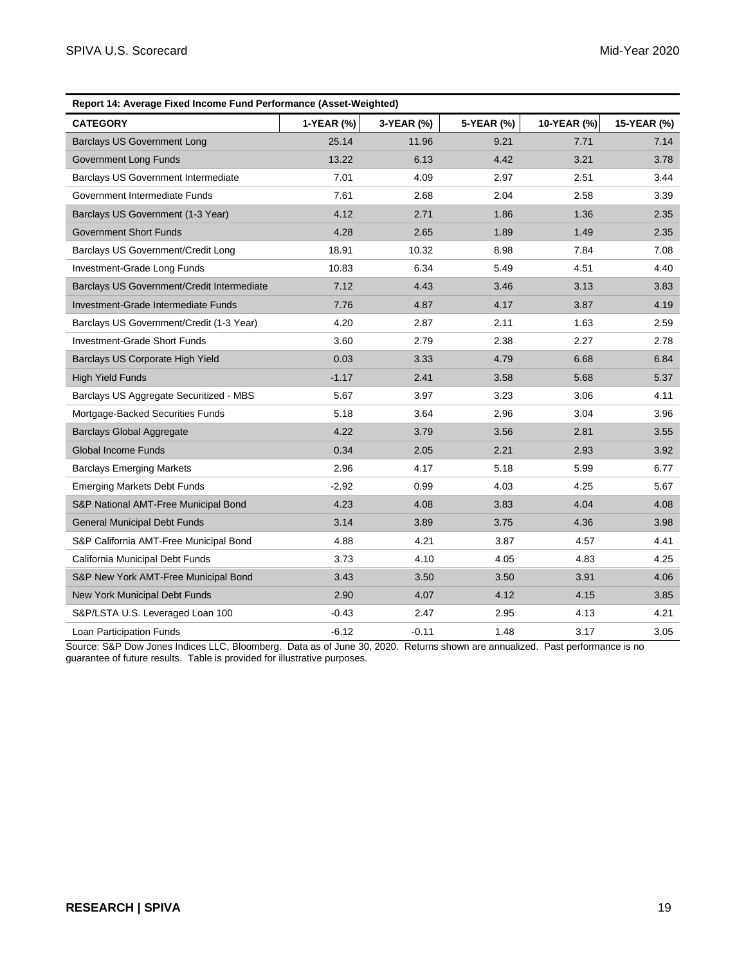| Report 14: Average Fixed Income Fund Performance (Asset-Weighted) |            |            |            |             |             |
|-------------------------------------------------------------------|------------|------------|------------|-------------|-------------|
| <b>CATEGORY</b>                                                   | 1-YEAR (%) | 3-YEAR (%) | 5-YEAR (%) | 10-YEAR (%) | 15-YEAR (%) |
| <b>Barclays US Government Long</b>                                | 25.14      | 11.96      | 9.21       | 7.71        | 7.14        |
| <b>Government Long Funds</b>                                      | 13.22      | 6.13       | 4.42       | 3.21        | 3.78        |
| Barclays US Government Intermediate                               | 7.01       | 4.09       | 2.97       | 2.51        | 3.44        |
| Government Intermediate Funds                                     | 7.61       | 2.68       | 2.04       | 2.58        | 3.39        |
| Barclays US Government (1-3 Year)                                 | 4.12       | 2.71       | 1.86       | 1.36        | 2.35        |
| <b>Government Short Funds</b>                                     | 4.28       | 2.65       | 1.89       | 1.49        | 2.35        |
| Barclays US Government/Credit Long                                | 18.91      | 10.32      | 8.98       | 7.84        | 7.08        |
| Investment-Grade Long Funds                                       | 10.83      | 6.34       | 5.49       | 4.51        | 4.40        |
| Barclays US Government/Credit Intermediate                        | 7.12       | 4.43       | 3.46       | 3.13        | 3.83        |
| Investment-Grade Intermediate Funds                               | 7.76       | 4.87       | 4.17       | 3.87        | 4.19        |
| Barclays US Government/Credit (1-3 Year)                          | 4.20       | 2.87       | 2.11       | 1.63        | 2.59        |
| Investment-Grade Short Funds                                      | 3.60       | 2.79       | 2.38       | 2.27        | 2.78        |
| Barclays US Corporate High Yield                                  | 0.03       | 3.33       | 4.79       | 6.68        | 6.84        |
| <b>High Yield Funds</b>                                           | $-1.17$    | 2.41       | 3.58       | 5.68        | 5.37        |
| Barclays US Aggregate Securitized - MBS                           | 5.67       | 3.97       | 3.23       | 3.06        | 4.11        |
| Mortgage-Backed Securities Funds                                  | 5.18       | 3.64       | 2.96       | 3.04        | 3.96        |
| <b>Barclays Global Aggregate</b>                                  | 4.22       | 3.79       | 3.56       | 2.81        | 3.55        |
| <b>Global Income Funds</b>                                        | 0.34       | 2.05       | 2.21       | 2.93        | 3.92        |
| <b>Barclays Emerging Markets</b>                                  | 2.96       | 4.17       | 5.18       | 5.99        | 6.77        |
| <b>Emerging Markets Debt Funds</b>                                | $-2.92$    | 0.99       | 4.03       | 4.25        | 5.67        |
| S&P National AMT-Free Municipal Bond                              | 4.23       | 4.08       | 3.83       | 4.04        | 4.08        |
| <b>General Municipal Debt Funds</b>                               | 3.14       | 3.89       | 3.75       | 4.36        | 3.98        |
| S&P California AMT-Free Municipal Bond                            | 4.88       | 4.21       | 3.87       | 4.57        | 4.41        |
| California Municipal Debt Funds                                   | 3.73       | 4.10       | 4.05       | 4.83        | 4.25        |
| S&P New York AMT-Free Municipal Bond                              | 3.43       | 3.50       | 3.50       | 3.91        | 4.06        |
| New York Municipal Debt Funds                                     | 2.90       | 4.07       | 4.12       | 4.15        | 3.85        |
| S&P/LSTA U.S. Leveraged Loan 100                                  | $-0.43$    | 2.47       | 2.95       | 4.13        | 4.21        |
| Loan Participation Funds                                          | $-6.12$    | $-0.11$    | 1.48       | 3.17        | 3.05        |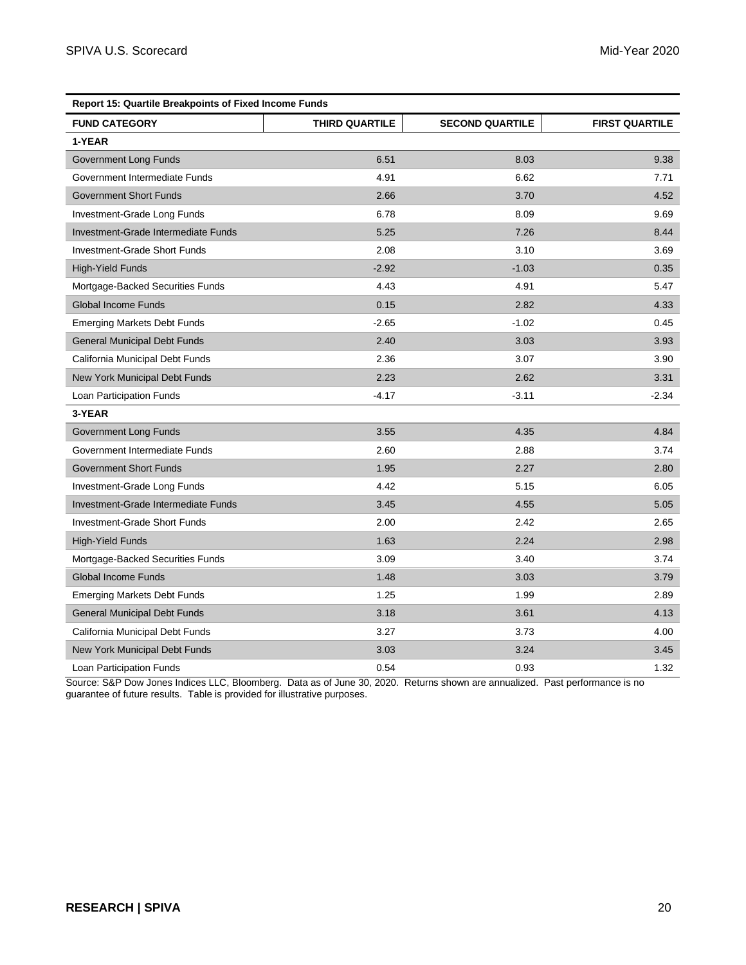| <b>Report 15: Quartile Breakpoints of Fixed Income Funds</b> |                       |                        |                       |  |
|--------------------------------------------------------------|-----------------------|------------------------|-----------------------|--|
| <b>FUND CATEGORY</b>                                         | <b>THIRD QUARTILE</b> | <b>SECOND QUARTILE</b> | <b>FIRST QUARTILE</b> |  |
| 1-YEAR                                                       |                       |                        |                       |  |
| Government Long Funds                                        | 6.51                  | 8.03                   | 9.38                  |  |
| Government Intermediate Funds                                | 4.91                  | 6.62                   | 7.71                  |  |
| <b>Government Short Funds</b>                                | 2.66                  | 3.70                   | 4.52                  |  |
| Investment-Grade Long Funds                                  | 6.78                  | 8.09                   | 9.69                  |  |
| Investment-Grade Intermediate Funds                          | 5.25                  | 7.26                   | 8.44                  |  |
| <b>Investment-Grade Short Funds</b>                          | 2.08                  | 3.10                   | 3.69                  |  |
| <b>High-Yield Funds</b>                                      | $-2.92$               | $-1.03$                | 0.35                  |  |
| Mortgage-Backed Securities Funds                             | 4.43                  | 4.91                   | 5.47                  |  |
| <b>Global Income Funds</b>                                   | 0.15                  | 2.82                   | 4.33                  |  |
| <b>Emerging Markets Debt Funds</b>                           | $-2.65$               | $-1.02$                | 0.45                  |  |
| <b>General Municipal Debt Funds</b>                          | 2.40                  | 3.03                   | 3.93                  |  |
| California Municipal Debt Funds                              | 2.36                  | 3.07                   | 3.90                  |  |
| New York Municipal Debt Funds                                | 2.23                  | 2.62                   | 3.31                  |  |
| Loan Participation Funds                                     | $-4.17$               | $-3.11$                | $-2.34$               |  |
| 3-YEAR                                                       |                       |                        |                       |  |
| Government Long Funds                                        | 3.55                  | 4.35                   | 4.84                  |  |
| Government Intermediate Funds                                | 2.60                  | 2.88                   | 3.74                  |  |
| <b>Government Short Funds</b>                                | 1.95                  | 2.27                   | 2.80                  |  |
| Investment-Grade Long Funds                                  | 4.42                  | 5.15                   | 6.05                  |  |
| Investment-Grade Intermediate Funds                          | 3.45                  | 4.55                   | 5.05                  |  |
| <b>Investment-Grade Short Funds</b>                          | 2.00                  | 2.42                   | 2.65                  |  |
| <b>High-Yield Funds</b>                                      | 1.63                  | 2.24                   | 2.98                  |  |
| Mortgage-Backed Securities Funds                             | 3.09                  | 3.40                   | 3.74                  |  |
| <b>Global Income Funds</b>                                   | 1.48                  | 3.03                   | 3.79                  |  |
| <b>Emerging Markets Debt Funds</b>                           | 1.25                  | 1.99                   | 2.89                  |  |
| <b>General Municipal Debt Funds</b>                          | 3.18                  | 3.61                   | 4.13                  |  |
| California Municipal Debt Funds                              | 3.27                  | 3.73                   | 4.00                  |  |
| New York Municipal Debt Funds                                | 3.03                  | 3.24                   | 3.45                  |  |
| Loan Participation Funds                                     | 0.54                  | 0.93                   | 1.32                  |  |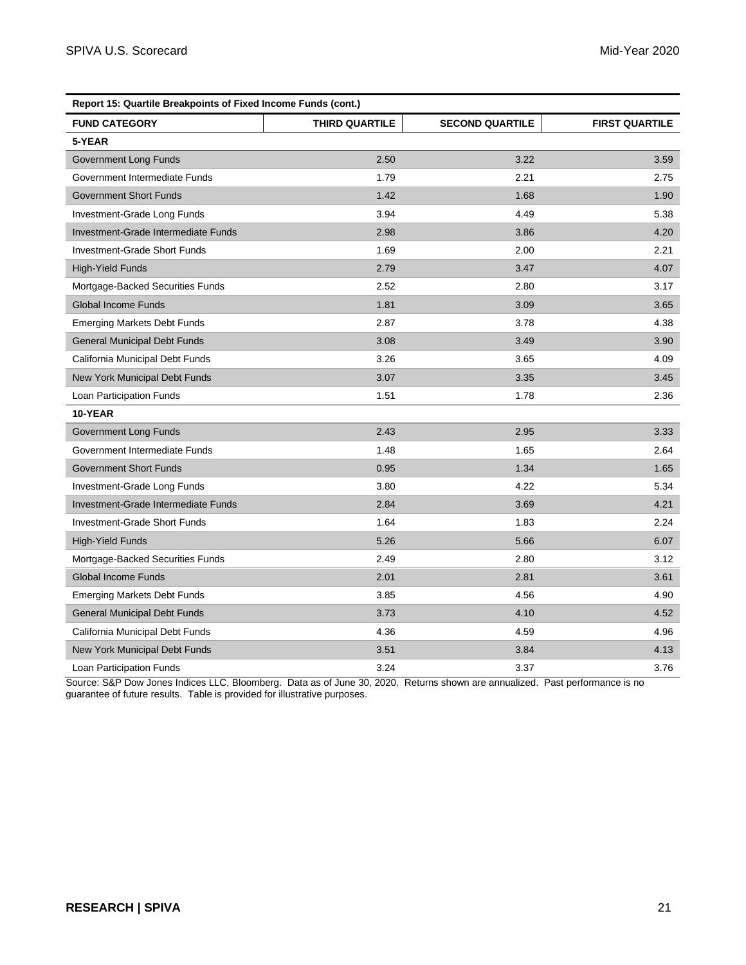| Report 15: Quartile Breakpoints of Fixed Income Funds (cont.) |                |                        |                       |
|---------------------------------------------------------------|----------------|------------------------|-----------------------|
| <b>FUND CATEGORY</b>                                          | THIRD QUARTILE | <b>SECOND QUARTILE</b> | <b>FIRST QUARTILE</b> |
| 5-YEAR                                                        |                |                        |                       |
| Government Long Funds                                         | 2.50           | 3.22                   | 3.59                  |
| Government Intermediate Funds                                 | 1.79           | 2.21                   | 2.75                  |
| <b>Government Short Funds</b>                                 | 1.42           | 1.68                   | 1.90                  |
| Investment-Grade Long Funds                                   | 3.94           | 4.49                   | 5.38                  |
| Investment-Grade Intermediate Funds                           | 2.98           | 3.86                   | 4.20                  |
| Investment-Grade Short Funds                                  | 1.69           | 2.00                   | 2.21                  |
| <b>High-Yield Funds</b>                                       | 2.79           | 3.47                   | 4.07                  |
| Mortgage-Backed Securities Funds                              | 2.52           | 2.80                   | 3.17                  |
| <b>Global Income Funds</b>                                    | 1.81           | 3.09                   | 3.65                  |
| <b>Emerging Markets Debt Funds</b>                            | 2.87           | 3.78                   | 4.38                  |
| <b>General Municipal Debt Funds</b>                           | 3.08           | 3.49                   | 3.90                  |
| California Municipal Debt Funds                               | 3.26           | 3.65                   | 4.09                  |
| New York Municipal Debt Funds                                 | 3.07           | 3.35                   | 3.45                  |
| Loan Participation Funds                                      | 1.51           | 1.78                   | 2.36                  |
| 10-YEAR                                                       |                |                        |                       |
| Government Long Funds                                         | 2.43           | 2.95                   | 3.33                  |
| Government Intermediate Funds                                 | 1.48           | 1.65                   | 2.64                  |
| <b>Government Short Funds</b>                                 | 0.95           | 1.34                   | 1.65                  |
| Investment-Grade Long Funds                                   | 3.80           | 4.22                   | 5.34                  |
| Investment-Grade Intermediate Funds                           | 2.84           | 3.69                   | 4.21                  |
| Investment-Grade Short Funds                                  | 1.64           | 1.83                   | 2.24                  |
| <b>High-Yield Funds</b>                                       | 5.26           | 5.66                   | 6.07                  |
| Mortgage-Backed Securities Funds                              | 2.49           | 2.80                   | 3.12                  |
| <b>Global Income Funds</b>                                    | 2.01           | 2.81                   | 3.61                  |
| <b>Emerging Markets Debt Funds</b>                            | 3.85           | 4.56                   | 4.90                  |
| <b>General Municipal Debt Funds</b>                           | 3.73           | 4.10                   | 4.52                  |
| California Municipal Debt Funds                               | 4.36           | 4.59                   | 4.96                  |
| New York Municipal Debt Funds                                 | 3.51           | 3.84                   | 4.13                  |
| Loan Participation Funds                                      | 3.24           | 3.37                   | 3.76                  |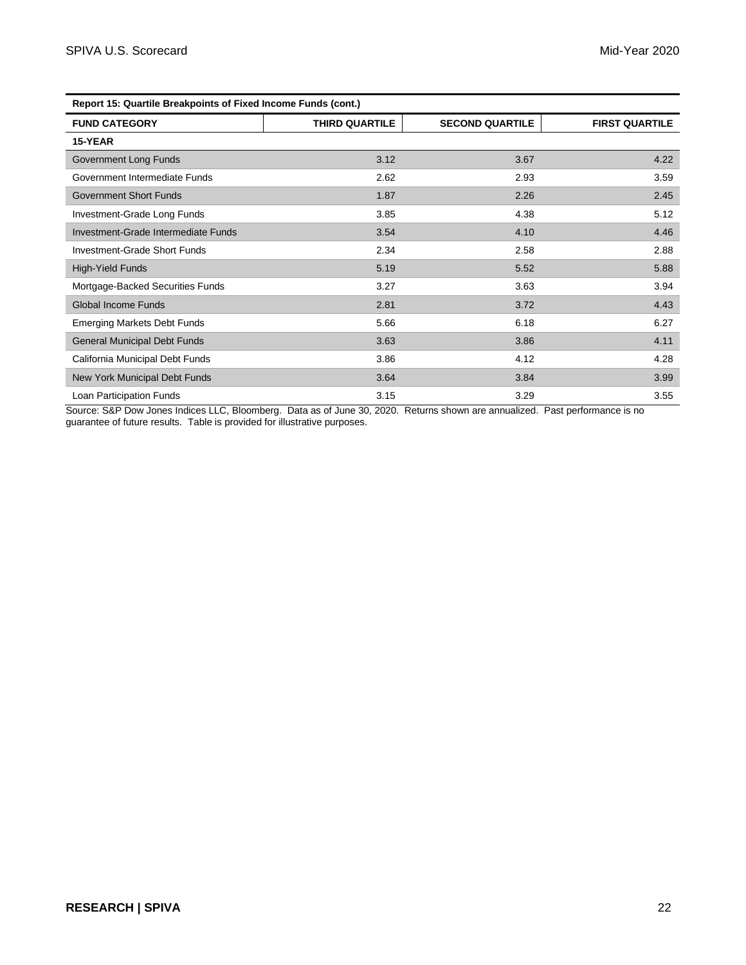| Report 15: Quartile Breakpoints of Fixed Income Funds (cont.) |                |                        |                       |
|---------------------------------------------------------------|----------------|------------------------|-----------------------|
| <b>FUND CATEGORY</b>                                          | THIRD QUARTILE | <b>SECOND QUARTILE</b> | <b>FIRST QUARTILE</b> |
| 15-YEAR                                                       |                |                        |                       |
| Government Long Funds                                         | 3.12           | 3.67                   | 4.22                  |
| Government Intermediate Funds                                 | 2.62           | 2.93                   | 3.59                  |
| <b>Government Short Funds</b>                                 | 1.87           | 2.26                   | 2.45                  |
| Investment-Grade Long Funds                                   | 3.85           | 4.38                   | 5.12                  |
| Investment-Grade Intermediate Funds                           | 3.54           | 4.10                   | 4.46                  |
| Investment-Grade Short Funds                                  | 2.34           | 2.58                   | 2.88                  |
| High-Yield Funds                                              | 5.19           | 5.52                   | 5.88                  |
| Mortgage-Backed Securities Funds                              | 3.27           | 3.63                   | 3.94                  |
| Global Income Funds                                           | 2.81           | 3.72                   | 4.43                  |
| <b>Emerging Markets Debt Funds</b>                            | 5.66           | 6.18                   | 6.27                  |
| <b>General Municipal Debt Funds</b>                           | 3.63           | 3.86                   | 4.11                  |
| California Municipal Debt Funds                               | 3.86           | 4.12                   | 4.28                  |
| New York Municipal Debt Funds                                 | 3.64           | 3.84                   | 3.99                  |
| Loan Participation Funds                                      | 3.15           | 3.29                   | 3.55                  |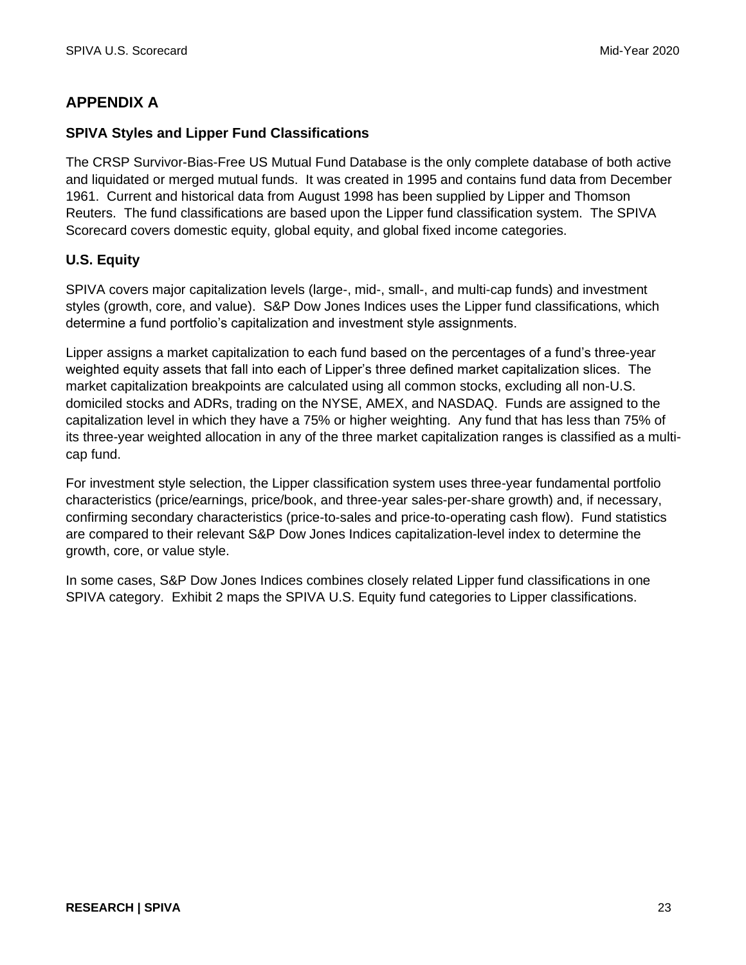# **APPENDIX A**

# **SPIVA Styles and Lipper Fund Classifications**

The CRSP Survivor-Bias-Free US Mutual Fund Database is the only complete database of both active and liquidated or merged mutual funds. It was created in 1995 and contains fund data from December 1961. Current and historical data from August 1998 has been supplied by Lipper and Thomson Reuters. The fund classifications are based upon the Lipper fund classification system. The SPIVA Scorecard covers domestic equity, global equity, and global fixed income categories.

# **U.S. Equity**

SPIVA covers major capitalization levels (large-, mid-, small-, and multi-cap funds) and investment styles (growth, core, and value). S&P Dow Jones Indices uses the Lipper fund classifications, which determine a fund portfolio's capitalization and investment style assignments.

Lipper assigns a market capitalization to each fund based on the percentages of a fund's three-year weighted equity assets that fall into each of Lipper's three defined market capitalization slices. The market capitalization breakpoints are calculated using all common stocks, excluding all non-U.S. domiciled stocks and ADRs, trading on the NYSE, AMEX, and NASDAQ. Funds are assigned to the capitalization level in which they have a 75% or higher weighting. Any fund that has less than 75% of its three-year weighted allocation in any of the three market capitalization ranges is classified as a multicap fund.

For investment style selection, the Lipper classification system uses three-year fundamental portfolio characteristics (price/earnings, price/book, and three-year sales-per-share growth) and, if necessary, confirming secondary characteristics (price-to-sales and price-to-operating cash flow). Fund statistics are compared to their relevant S&P Dow Jones Indices capitalization-level index to determine the growth, core, or value style.

In some cases, S&P Dow Jones Indices combines closely related Lipper fund classifications in one SPIVA category. Exhibit 2 maps the SPIVA U.S. Equity fund categories to Lipper classifications.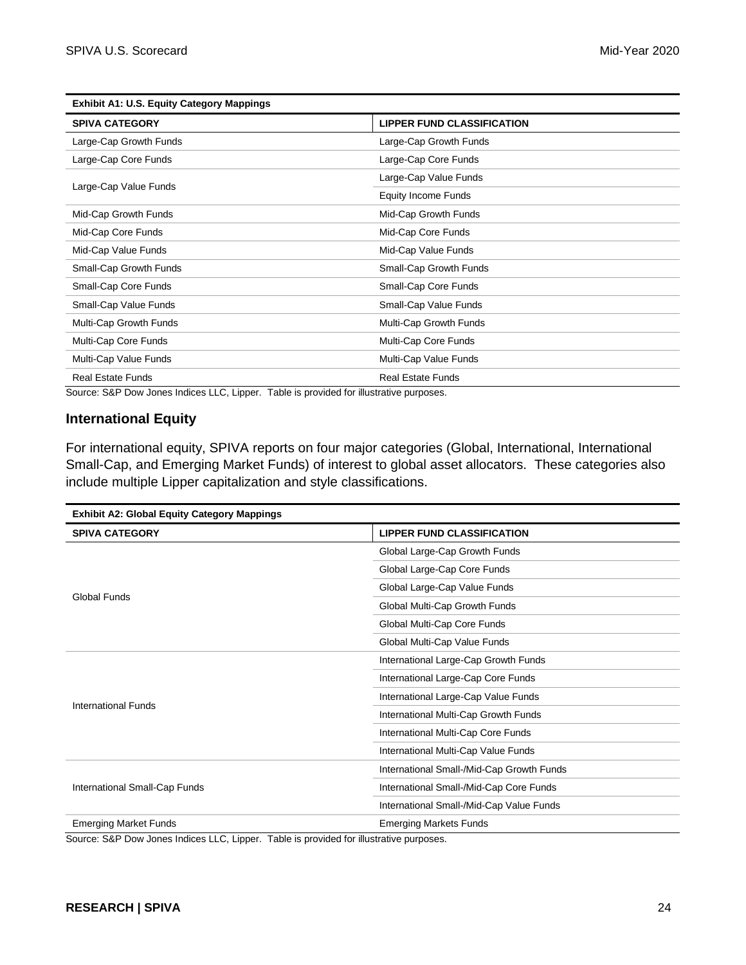| <b>Exhibit A1: U.S. Equity Category Mappings</b> |                                   |
|--------------------------------------------------|-----------------------------------|
| <b>SPIVA CATEGORY</b>                            | <b>LIPPER FUND CLASSIFICATION</b> |
| Large-Cap Growth Funds                           | Large-Cap Growth Funds            |
| Large-Cap Core Funds                             | Large-Cap Core Funds              |
| Large-Cap Value Funds                            | Large-Cap Value Funds             |
|                                                  | <b>Equity Income Funds</b>        |
| Mid-Cap Growth Funds                             | Mid-Cap Growth Funds              |
| Mid-Cap Core Funds                               | Mid-Cap Core Funds                |
| Mid-Cap Value Funds                              | Mid-Cap Value Funds               |
| Small-Cap Growth Funds                           | Small-Cap Growth Funds            |
| Small-Cap Core Funds                             | Small-Cap Core Funds              |
| Small-Cap Value Funds                            | Small-Cap Value Funds             |
| Multi-Cap Growth Funds                           | Multi-Cap Growth Funds            |
| Multi-Cap Core Funds                             | Multi-Cap Core Funds              |
| Multi-Cap Value Funds                            | Multi-Cap Value Funds             |
| <b>Real Estate Funds</b>                         | <b>Real Estate Funds</b>          |

Source: S&P Dow Jones Indices LLC, Lipper. Table is provided for illustrative purposes.

# **International Equity**

For international equity, SPIVA reports on four major categories (Global, International, International Small-Cap, and Emerging Market Funds) of interest to global asset allocators. These categories also include multiple Lipper capitalization and style classifications.

| <b>Exhibit A2: Global Equity Category Mappings</b> |                                           |  |  |
|----------------------------------------------------|-------------------------------------------|--|--|
| <b>SPIVA CATEGORY</b>                              | <b>LIPPER FUND CLASSIFICATION</b>         |  |  |
|                                                    | Global Large-Cap Growth Funds             |  |  |
|                                                    | Global Large-Cap Core Funds               |  |  |
| <b>Global Funds</b>                                | Global Large-Cap Value Funds              |  |  |
|                                                    | Global Multi-Cap Growth Funds             |  |  |
|                                                    | Global Multi-Cap Core Funds               |  |  |
|                                                    | Global Multi-Cap Value Funds              |  |  |
|                                                    | International Large-Cap Growth Funds      |  |  |
|                                                    | International Large-Cap Core Funds        |  |  |
| International Funds                                | International Large-Cap Value Funds       |  |  |
|                                                    | International Multi-Cap Growth Funds      |  |  |
|                                                    | International Multi-Cap Core Funds        |  |  |
|                                                    | International Multi-Cap Value Funds       |  |  |
|                                                    | International Small-/Mid-Cap Growth Funds |  |  |
| International Small-Cap Funds                      | International Small-/Mid-Cap Core Funds   |  |  |
|                                                    | International Small-/Mid-Cap Value Funds  |  |  |
| <b>Emerging Market Funds</b>                       | <b>Emerging Markets Funds</b>             |  |  |

Source: S&P Dow Jones Indices LLC, Lipper. Table is provided for illustrative purposes.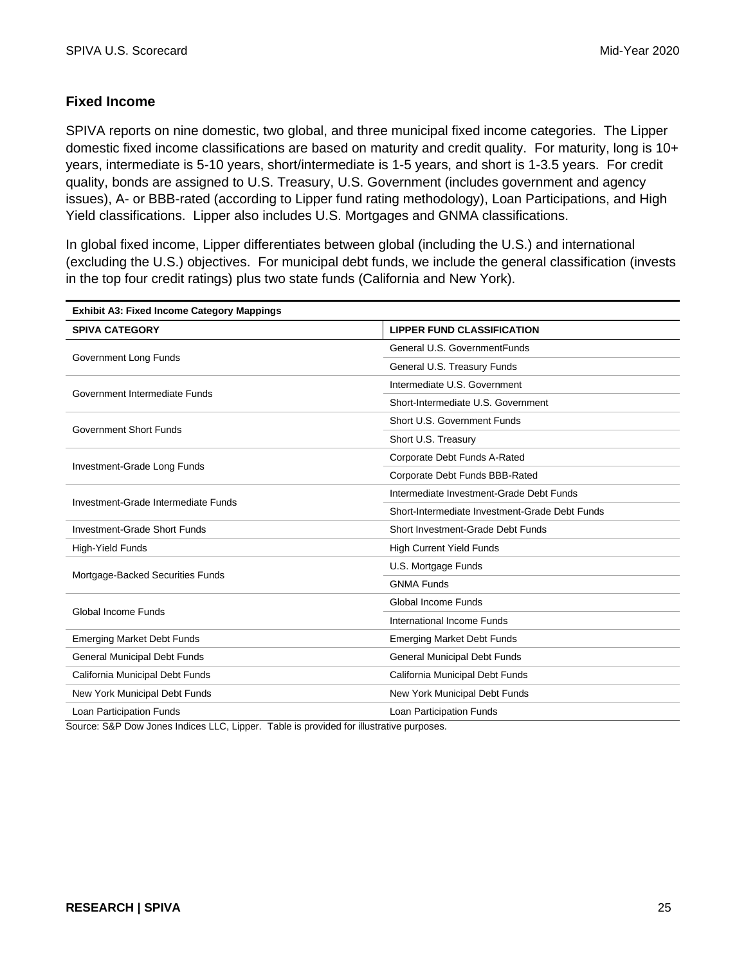# **Fixed Income**

SPIVA reports on nine domestic, two global, and three municipal fixed income categories. The Lipper domestic fixed income classifications are based on maturity and credit quality. For maturity, long is 10+ years, intermediate is 5-10 years, short/intermediate is 1-5 years, and short is 1-3.5 years. For credit quality, bonds are assigned to U.S. Treasury, U.S. Government (includes government and agency issues), A- or BBB-rated (according to Lipper fund rating methodology), Loan Participations, and High Yield classifications. Lipper also includes U.S. Mortgages and GNMA classifications.

In global fixed income, Lipper differentiates between global (including the U.S.) and international (excluding the U.S.) objectives. For municipal debt funds, we include the general classification (invests in the top four credit ratings) plus two state funds (California and New York).

| <b>Exhibit A3: Fixed Income Category Mappings</b> |                                                |  |
|---------------------------------------------------|------------------------------------------------|--|
| <b>SPIVA CATEGORY</b>                             | <b>LIPPER FUND CLASSIFICATION</b>              |  |
| Government Long Funds                             | General U.S. GovernmentFunds                   |  |
|                                                   | General U.S. Treasury Funds                    |  |
| Government Intermediate Funds                     | Intermediate U.S. Government                   |  |
|                                                   | Short-Intermediate U.S. Government             |  |
| <b>Government Short Funds</b>                     | Short U.S. Government Funds                    |  |
|                                                   | Short U.S. Treasury                            |  |
| Investment-Grade Long Funds                       | Corporate Debt Funds A-Rated                   |  |
|                                                   | Corporate Debt Funds BBB-Rated                 |  |
| Investment-Grade Intermediate Funds               | Intermediate Investment-Grade Debt Funds       |  |
|                                                   | Short-Intermediate Investment-Grade Debt Funds |  |
| Investment-Grade Short Funds                      | Short Investment-Grade Debt Funds              |  |
| <b>High-Yield Funds</b>                           | <b>High Current Yield Funds</b>                |  |
| Mortgage-Backed Securities Funds                  | U.S. Mortgage Funds                            |  |
|                                                   | <b>GNMA Funds</b>                              |  |
| Global Income Funds                               | Global Income Funds                            |  |
|                                                   | International Income Funds                     |  |
| <b>Emerging Market Debt Funds</b>                 | <b>Emerging Market Debt Funds</b>              |  |
| <b>General Municipal Debt Funds</b>               | <b>General Municipal Debt Funds</b>            |  |
| California Municipal Debt Funds                   | California Municipal Debt Funds                |  |
| New York Municipal Debt Funds                     | New York Municipal Debt Funds                  |  |
| Loan Participation Funds                          | Loan Participation Funds                       |  |

Source: S&P Dow Jones Indices LLC, Lipper. Table is provided for illustrative purposes.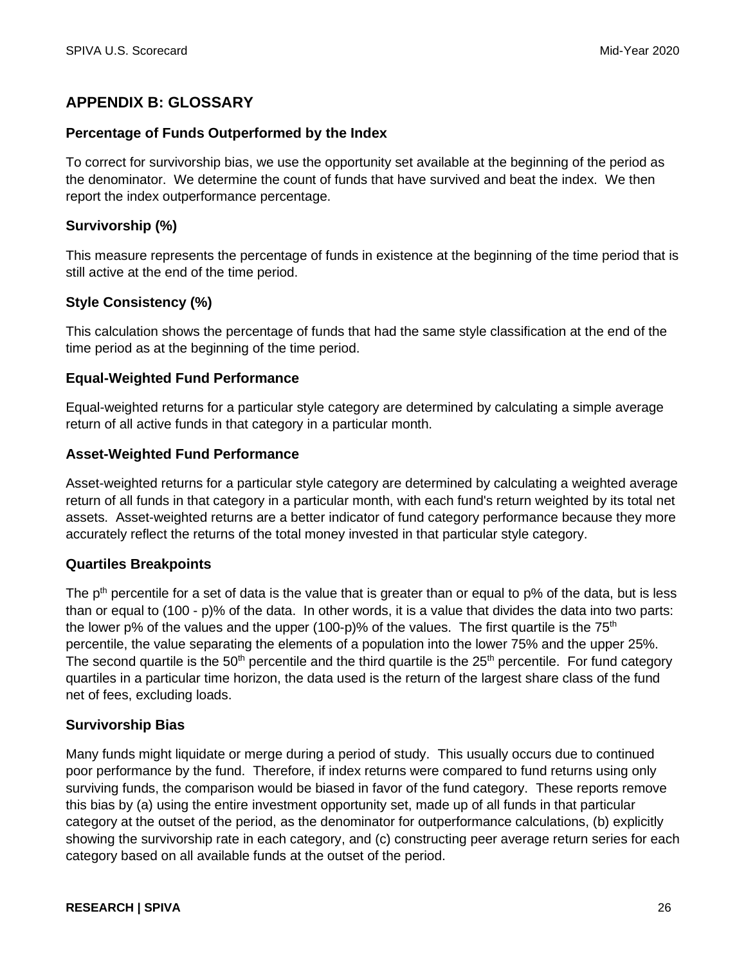# **APPENDIX B: GLOSSARY**

#### **Percentage of Funds Outperformed by the Index**

To correct for survivorship bias, we use the opportunity set available at the beginning of the period as the denominator. We determine the count of funds that have survived and beat the index. We then report the index outperformance percentage.

# **Survivorship (%)**

This measure represents the percentage of funds in existence at the beginning of the time period that is still active at the end of the time period.

# **Style Consistency (%)**

This calculation shows the percentage of funds that had the same style classification at the end of the time period as at the beginning of the time period.

#### **Equal-Weighted Fund Performance**

Equal-weighted returns for a particular style category are determined by calculating a simple average return of all active funds in that category in a particular month.

#### **Asset-Weighted Fund Performance**

Asset-weighted returns for a particular style category are determined by calculating a weighted average return of all funds in that category in a particular month, with each fund's return weighted by its total net assets. Asset-weighted returns are a better indicator of fund category performance because they more accurately reflect the returns of the total money invested in that particular style category.

#### **Quartiles Breakpoints**

The p<sup>th</sup> percentile for a set of data is the value that is greater than or equal to p% of the data, but is less than or equal to (100 - p)% of the data. In other words, it is a value that divides the data into two parts: the lower p% of the values and the upper (100-p)% of the values. The first quartile is the  $75<sup>th</sup>$ percentile, the value separating the elements of a population into the lower 75% and the upper 25%. The second quartile is the  $50<sup>th</sup>$  percentile and the third quartile is the  $25<sup>th</sup>$  percentile. For fund category quartiles in a particular time horizon, the data used is the return of the largest share class of the fund net of fees, excluding loads.

#### **Survivorship Bias**

Many funds might liquidate or merge during a period of study. This usually occurs due to continued poor performance by the fund. Therefore, if index returns were compared to fund returns using only surviving funds, the comparison would be biased in favor of the fund category. These reports remove this bias by (a) using the entire investment opportunity set, made up of all funds in that particular category at the outset of the period, as the denominator for outperformance calculations, (b) explicitly showing the survivorship rate in each category, and (c) constructing peer average return series for each category based on all available funds at the outset of the period.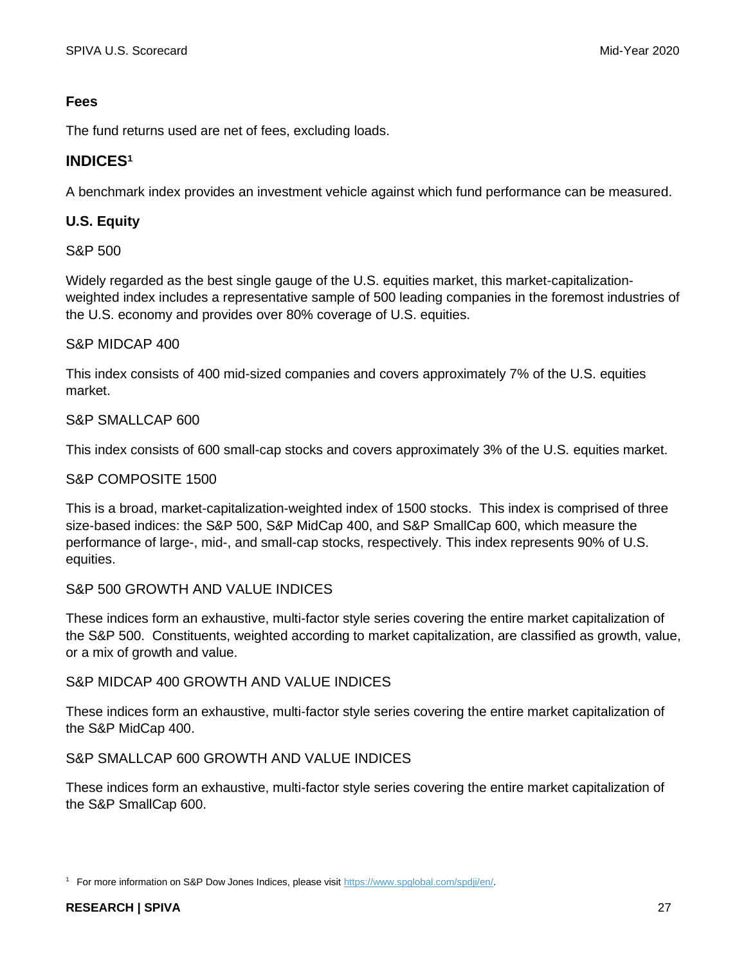# **Fees**

The fund returns used are net of fees, excluding loads.

# **INDICES<sup>1</sup>**

A benchmark index provides an investment vehicle against which fund performance can be measured.

# **U.S. Equity**

# S&P 500

Widely regarded as the best single gauge of the U.S. equities market, this market-capitalizationweighted index includes a representative sample of 500 leading companies in the foremost industries of the U.S. economy and provides over 80% coverage of U.S. equities.

# S&P MIDCAP 400

This index consists of 400 mid-sized companies and covers approximately 7% of the U.S. equities market.

# S&P SMALLCAP 600

This index consists of 600 small-cap stocks and covers approximately 3% of the U.S. equities market.

# S&P COMPOSITE 1500

This is a broad, market-capitalization-weighted index of 1500 stocks. This index is comprised of three size-based indices: the S&P 500, S&P MidCap 400, and S&P SmallCap 600, which measure the performance of large-, mid-, and small-cap stocks, respectively. This index represents 90% of U.S. equities.

# S&P 500 GROWTH AND VALUE INDICES

These indices form an exhaustive, multi-factor style series covering the entire market capitalization of the S&P 500. Constituents, weighted according to market capitalization, are classified as growth, value, or a mix of growth and value.

#### S&P MIDCAP 400 GROWTH AND VALUE INDICES

These indices form an exhaustive, multi-factor style series covering the entire market capitalization of the S&P MidCap 400.

# S&P SMALLCAP 600 GROWTH AND VALUE INDICES

These indices form an exhaustive, multi-factor style series covering the entire market capitalization of the S&P SmallCap 600.

<sup>1</sup> For more information on S&P Dow Jones Indices, please visit [https://www.spglobal.com/spdji/en/.](https://www.spglobal.com/spdji/en/)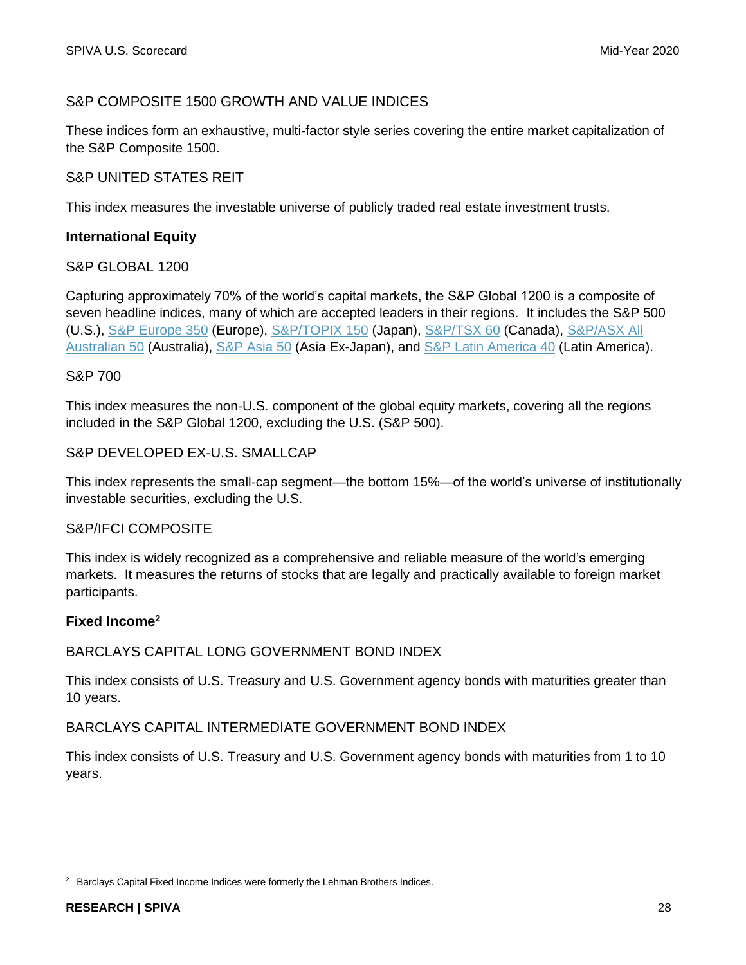# S&P COMPOSITE 1500 GROWTH AND VALUE INDICES

These indices form an exhaustive, multi-factor style series covering the entire market capitalization of the S&P Composite 1500.

#### S&P UNITED STATES REIT

This index measures the investable universe of publicly traded real estate investment trusts.

#### **International Equity**

#### S&P GLOBAL 1200

Capturing approximately 70% of the world's capital markets, the S&P Global 1200 is a composite of seven headline indices, many of which are accepted leaders in their regions. It includes the S&P 500 (U.S.), [S&P Europe 350](https://www.spglobal.com/spdji/en/indices/equity/sp-europe-350/#overview) (Europe), [S&P/TOPIX](https://www.spglobal.com/spdji/en/indices/equity/sp-topix-150/#overview) 150 (Japan), [S&P/TSX 60](https://www.spglobal.com/spdji/en/indices/equity/sp-tsx-60-index/#overview) (Canada), [S&P/ASX All](https://www.spglobal.com/spdji/en/indices/equity/sp-asx-all-australian-50/#overview)  [Australian 50](https://www.spglobal.com/spdji/en/indices/equity/sp-asx-all-australian-50/#overview) (Australia), [S&P Asia 50](https://www.spglobal.com/spdji/en/indices/equity/sp-asia-50/#overview) (Asia Ex-Japan), and [S&P Latin America 40](https://www.spglobal.com/spdji/en/indices/equity/sp-latin-america-40/#overview) (Latin America).

#### S&P 700

This index measures the non-U.S. component of the global equity markets, covering all the regions included in the S&P Global 1200, excluding the U.S. (S&P 500).

#### S&P DEVELOPED EX-U.S. SMALLCAP

This index represents the small-cap segment—the bottom 15%—of the world's universe of institutionally investable securities, excluding the U.S.

#### S&P/IFCI COMPOSITE

This index is widely recognized as a comprehensive and reliable measure of the world's emerging markets. It measures the returns of stocks that are legally and practically available to foreign market participants.

#### **Fixed Income<sup>2</sup>**

#### BARCLAYS CAPITAL LONG GOVERNMENT BOND INDEX

This index consists of U.S. Treasury and U.S. Government agency bonds with maturities greater than 10 years.

#### BARCLAYS CAPITAL INTERMEDIATE GOVERNMENT BOND INDEX

This index consists of U.S. Treasury and U.S. Government agency bonds with maturities from 1 to 10 years.

<sup>&</sup>lt;sup>2</sup> Barclays Capital Fixed Income Indices were formerly the Lehman Brothers Indices.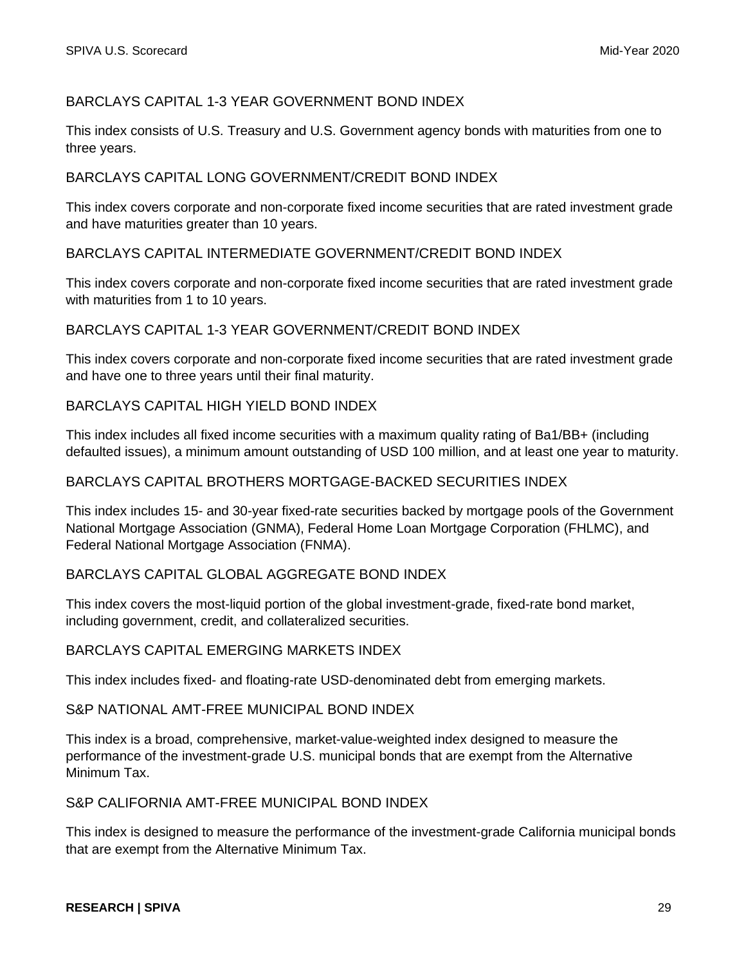# BARCLAYS CAPITAL 1-3 YEAR GOVERNMENT BOND INDEX

This index consists of U.S. Treasury and U.S. Government agency bonds with maturities from one to three years.

# BARCLAYS CAPITAL LONG GOVERNMENT/CREDIT BOND INDEX

This index covers corporate and non-corporate fixed income securities that are rated investment grade and have maturities greater than 10 years.

# BARCLAYS CAPITAL INTERMEDIATE GOVERNMENT/CREDIT BOND INDEX

This index covers corporate and non-corporate fixed income securities that are rated investment grade with maturities from 1 to 10 years.

#### BARCLAYS CAPITAL 1-3 YEAR GOVERNMENT/CREDIT BOND INDEX

This index covers corporate and non-corporate fixed income securities that are rated investment grade and have one to three years until their final maturity.

#### BARCLAYS CAPITAL HIGH YIELD BOND INDEX

This index includes all fixed income securities with a maximum quality rating of Ba1/BB+ (including defaulted issues), a minimum amount outstanding of USD 100 million, and at least one year to maturity.

#### BARCLAYS CAPITAL BROTHERS MORTGAGE-BACKED SECURITIES INDEX

This index includes 15- and 30-year fixed-rate securities backed by mortgage pools of the Government National Mortgage Association (GNMA), Federal Home Loan Mortgage Corporation (FHLMC), and Federal National Mortgage Association (FNMA).

#### BARCLAYS CAPITAL GLOBAL AGGREGATE BOND INDEX

This index covers the most-liquid portion of the global investment-grade, fixed-rate bond market, including government, credit, and collateralized securities.

#### BARCLAYS CAPITAL EMERGING MARKETS INDEX

This index includes fixed- and floating-rate USD-denominated debt from emerging markets.

#### S&P NATIONAL AMT-FREE MUNICIPAL BOND INDEX

This index is a broad, comprehensive, market-value-weighted index designed to measure the performance of the investment-grade U.S. municipal bonds that are exempt from the Alternative Minimum Tax.

#### S&P CALIFORNIA AMT-FREE MUNICIPAL BOND INDEX

This index is designed to measure the performance of the investment-grade California municipal bonds that are exempt from the Alternative Minimum Tax.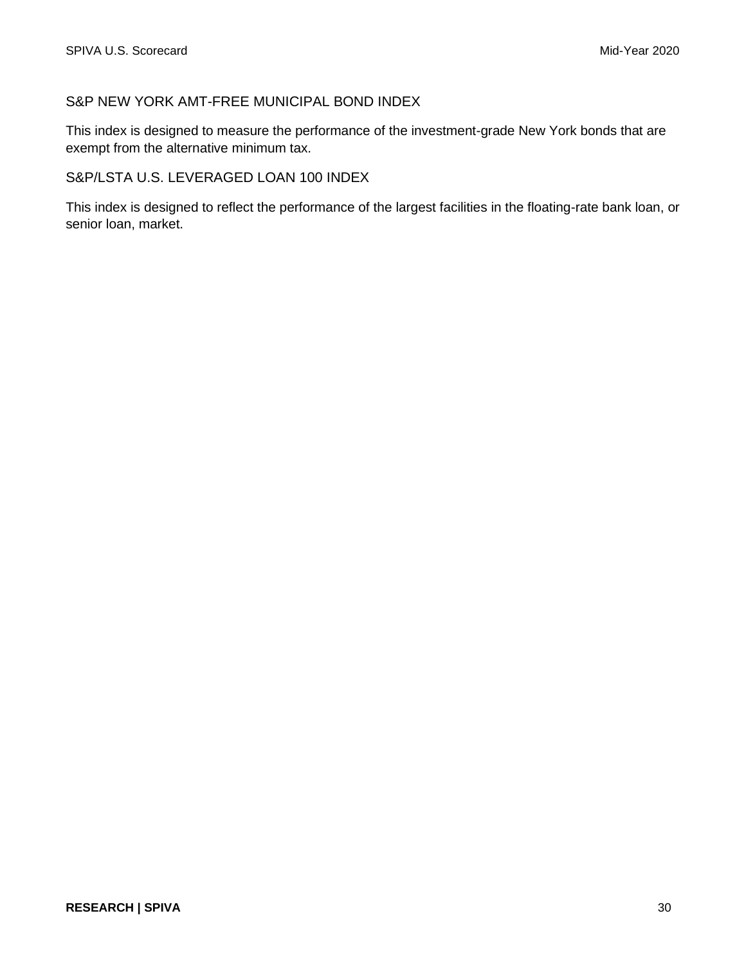# S&P NEW YORK AMT-FREE MUNICIPAL BOND INDEX

This index is designed to measure the performance of the investment-grade New York bonds that are exempt from the alternative minimum tax.

# S&P/LSTA U.S. LEVERAGED LOAN 100 INDEX

This index is designed to reflect the performance of the largest facilities in the floating-rate bank loan, or senior loan, market.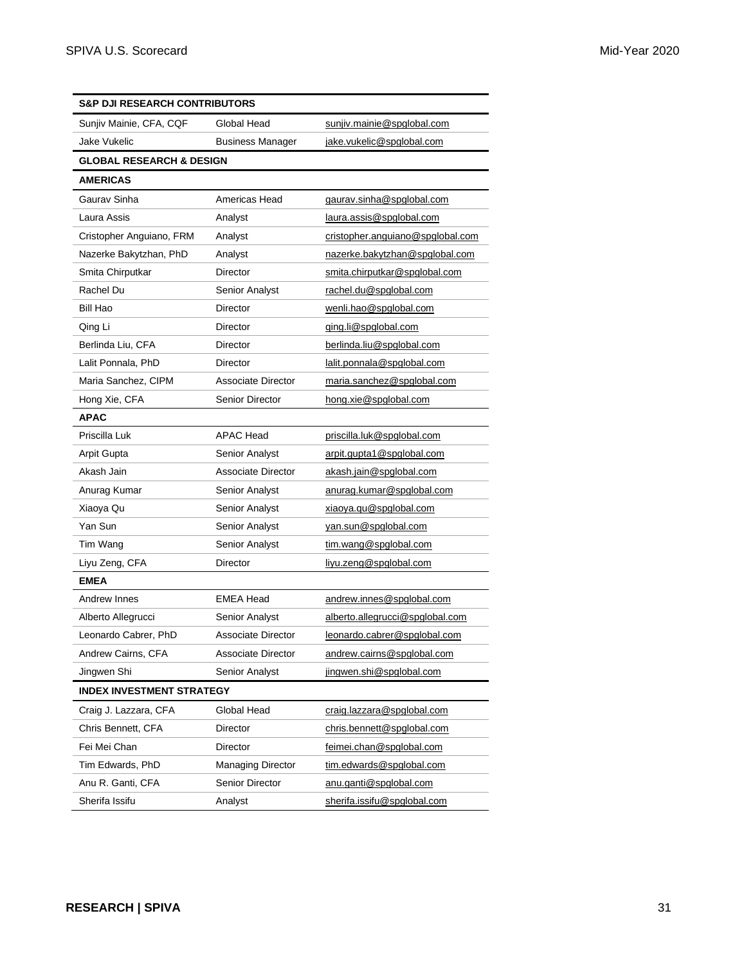| <b>S&amp;P DJI RESEARCH CONTRIBUTORS</b> |                           |                                  |
|------------------------------------------|---------------------------|----------------------------------|
| Sunjiv Mainie, CFA, CQF                  | Global Head               | sunjiv.mainie@spglobal.com       |
| Jake Vukelic                             | <b>Business Manager</b>   | jake.vukelic@spglobal.com        |
| <b>GLOBAL RESEARCH &amp; DESIGN</b>      |                           |                                  |
| <b>AMERICAS</b>                          |                           |                                  |
| Gaurav Sinha                             | Americas Head             | gaurav.sinha@spglobal.com        |
| Laura Assis                              | Analyst                   | laura.assis@spglobal.com         |
| Cristopher Anguiano, FRM                 | Analyst                   | cristopher.anguiano@spglobal.com |
| Nazerke Bakytzhan, PhD                   | Analyst                   | nazerke.bakytzhan@spglobal.com   |
| Smita Chirputkar                         | <b>Director</b>           | smita.chirputkar@spglobal.com    |
| Rachel Du                                | Senior Analyst            | rachel.du@spglobal.com           |
| Bill Hao                                 | <b>Director</b>           | wenli.hao@spglobal.com           |
| Qing Li                                  | Director                  | ging.li@spglobal.com             |
| Berlinda Liu, CFA                        | Director                  | berlinda.liu@spglobal.com        |
| Lalit Ponnala, PhD                       | Director                  | lalit.ponnala@spglobal.com       |
| Maria Sanchez, CIPM                      | Associate Director        | maria.sanchez@spqlobal.com       |
| Hong Xie, CFA                            | <b>Senior Director</b>    | hong.xie@spglobal.com            |
| APAC                                     |                           |                                  |
| Priscilla Luk                            | <b>APAC Head</b>          | priscilla.luk@spglobal.com       |
| Arpit Gupta                              | Senior Analyst            | arpit.gupta1@spglobal.com        |
| Akash Jain                               | Associate Director        | akash.jain@spglobal.com          |
| Anurag Kumar                             | Senior Analyst            | anurag.kumar@spglobal.com        |
| Xiaoya Qu                                | Senior Analyst            | xiaoya.qu@spglobal.com           |
| Yan Sun                                  | Senior Analyst            | yan.sun@spglobal.com             |
| Tim Wang                                 | Senior Analyst            | tim.wang@spglobal.com            |
| Liyu Zeng, CFA                           | Director                  | liyu.zeng@spglobal.com           |
| <b>EMEA</b>                              |                           |                                  |
| Andrew Innes                             | <b>EMEA Head</b>          | andrew.innes@spglobal.com        |
| Alberto Allegrucci                       | Senior Analyst            | alberto.allegrucci@spglobal.com  |
| Leonardo Cabrer, PhD                     | <b>Associate Director</b> | leonardo.cabrer@spglobal.com     |
| Andrew Cairns, CFA                       | Associate Director        | andrew.cairns@spglobal.com       |
| Jingwen Shi                              | Senior Analyst            | jingwen.shi@spglobal.com         |
| <b>INDEX INVESTMENT STRATEGY</b>         |                           |                                  |
| Craig J. Lazzara, CFA                    | Global Head               | craig.lazzara@spglobal.com       |
| Chris Bennett, CFA                       | Director                  | chris.bennett@spglobal.com       |
| Fei Mei Chan                             | Director                  | feimei.chan@spglobal.com         |
| Tim Edwards, PhD                         | Managing Director         | tim.edwards@spglobal.com         |
| Anu R. Ganti, CFA                        | Senior Director           | anu.ganti@spglobal.com           |
| Sherifa Issifu                           | Analyst                   | sherifa.issifu@spglobal.com      |